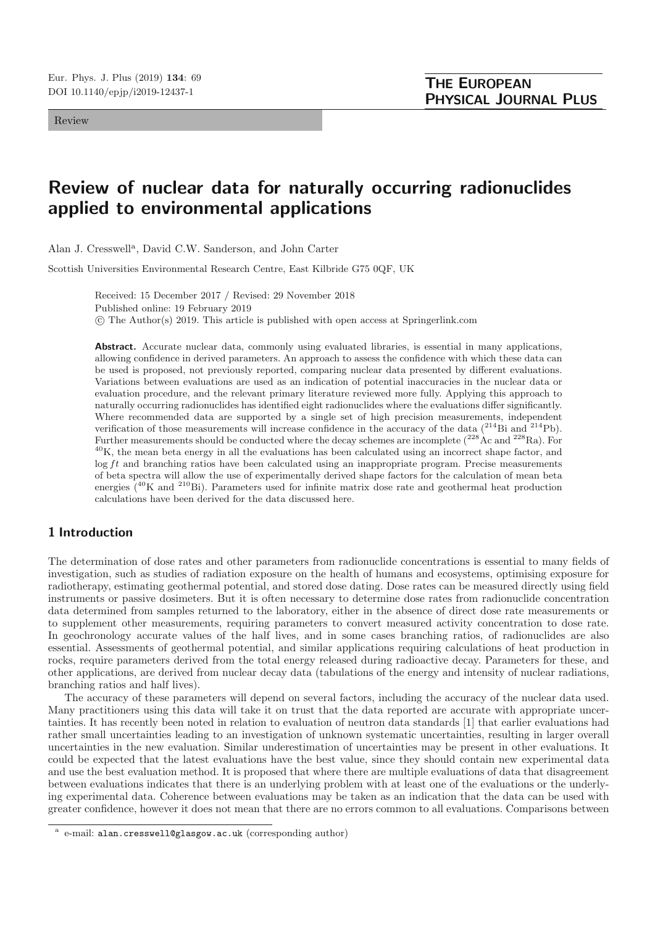Review

# **Review of nuclear data for naturally occurring radionuclides applied to environmental applications**

Alan J. Cresswell<sup>a</sup>, David C.W. Sanderson, and John Carter

Scottish Universities Environmental Research Centre, East Kilbride G75 0QF, UK

Received: 15 December 2017 / Revised: 29 November 2018 Published online: 19 February 2019 -c The Author(s) 2019. This article is published with open access at Springerlink.com

Abstract. Accurate nuclear data, commonly using evaluated libraries, is essential in many applications, allowing confidence in derived parameters. An approach to assess the confidence with which these data can be used is proposed, not previously reported, comparing nuclear data presented by different evaluations. Variations between evaluations are used as an indication of potential inaccuracies in the nuclear data or evaluation procedure, and the relevant primary literature reviewed more fully. Applying this approach to naturally occurring radionuclides has identified eight radionuclides where the evaluations differ significantly. Where recommended data are supported by a single set of high precision measurements, independent verification of those measurements will increase confidence in the accuracy of the data (<sup>214</sup>Bi and <sup>214</sup>Pb). Further measurements should be conducted where the decay schemes are incomplete  $(^{228}Ac$  and  $^{228}Ra$ ). For  $40$ K, the mean beta energy in all the evaluations has been calculated using an incorrect shape factor, and  $\log ft$  and branching ratios have been calculated using an inappropriate program. Precise measurements of beta spectra will allow the use of experimentally derived shape factors for the calculation of mean beta energies  $(40)$ K and  $(210)$ Bi). Parameters used for infinite matrix dose rate and geothermal heat production calculations have been derived for the data discussed here.

# **1 Introduction**

The determination of dose rates and other parameters from radionuclide concentrations is essential to many fields of investigation, such as studies of radiation exposure on the health of humans and ecosystems, optimising exposure for radiotherapy, estimating geothermal potential, and stored dose dating. Dose rates can be measured directly using field instruments or passive dosimeters. But it is often necessary to determine dose rates from radionuclide concentration data determined from samples returned to the laboratory, either in the absence of direct dose rate measurements or to supplement other measurements, requiring parameters to convert measured activity concentration to dose rate. In geochronology accurate values of the half lives, and in some cases branching ratios, of radionuclides are also essential. Assessments of geothermal potential, and similar applications requiring calculations of heat production in rocks, require parameters derived from the total energy released during radioactive decay. Parameters for these, and other applications, are derived from nuclear decay data (tabulations of the energy and intensity of nuclear radiations, branching ratios and half lives).

The accuracy of these parameters will depend on several factors, including the accuracy of the nuclear data used. Many practitioners using this data will take it on trust that the data reported are accurate with appropriate uncertainties. It has recently been noted in relation to evaluation of neutron data standards [1] that earlier evaluations had rather small uncertainties leading to an investigation of unknown systematic uncertainties, resulting in larger overall uncertainties in the new evaluation. Similar underestimation of uncertainties may be present in other evaluations. It could be expected that the latest evaluations have the best value, since they should contain new experimental data and use the best evaluation method. It is proposed that where there are multiple evaluations of data that disagreement between evaluations indicates that there is an underlying problem with at least one of the evaluations or the underlying experimental data. Coherence between evaluations may be taken as an indication that the data can be used with greater confidence, however it does not mean that there are no errors common to all evaluations. Comparisons between

e-mail: alan.cresswell@glasgow.ac.uk (corresponding author)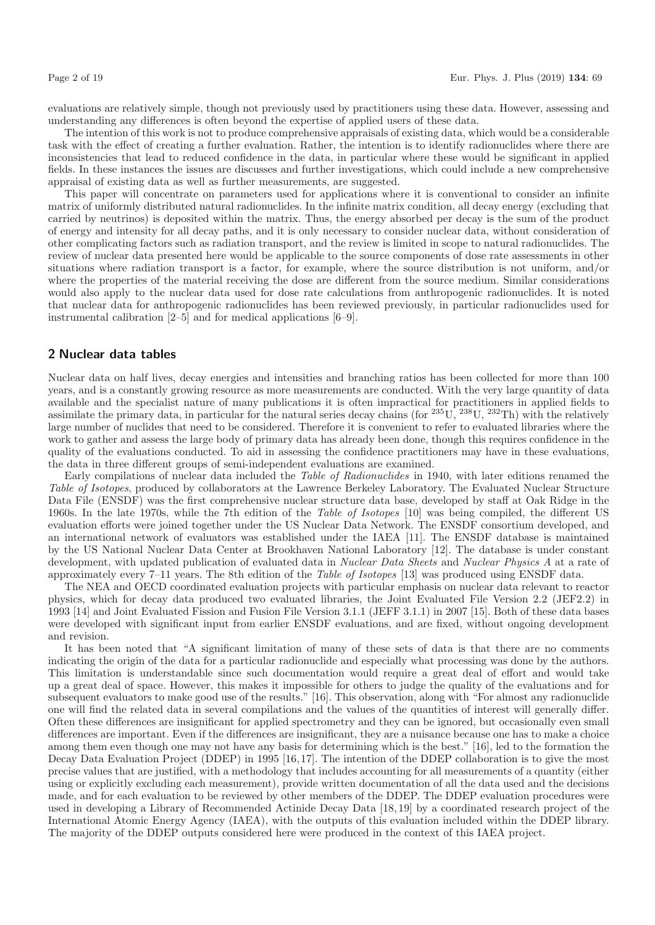evaluations are relatively simple, though not previously used by practitioners using these data. However, assessing and understanding any differences is often beyond the expertise of applied users of these data.

The intention of this work is not to produce comprehensive appraisals of existing data, which would be a considerable task with the effect of creating a further evaluation. Rather, the intention is to identify radionuclides where there are inconsistencies that lead to reduced confidence in the data, in particular where these would be significant in applied fields. In these instances the issues are discusses and further investigations, which could include a new comprehensive appraisal of existing data as well as further measurements, are suggested.

This paper will concentrate on parameters used for applications where it is conventional to consider an infinite matrix of uniformly distributed natural radionuclides. In the infinite matrix condition, all decay energy (excluding that carried by neutrinos) is deposited within the matrix. Thus, the energy absorbed per decay is the sum of the product of energy and intensity for all decay paths, and it is only necessary to consider nuclear data, without consideration of other complicating factors such as radiation transport, and the review is limited in scope to natural radionuclides. The review of nuclear data presented here would be applicable to the source components of dose rate assessments in other situations where radiation transport is a factor, for example, where the source distribution is not uniform, and/or where the properties of the material receiving the dose are different from the source medium. Similar considerations would also apply to the nuclear data used for dose rate calculations from anthropogenic radionuclides. It is noted that nuclear data for anthropogenic radionuclides has been reviewed previously, in particular radionuclides used for instrumental calibration [2–5] and for medical applications [6–9].

# **2 Nuclear data tables**

Nuclear data on half lives, decay energies and intensities and branching ratios has been collected for more than 100 years, and is a constantly growing resource as more measurements are conducted. With the very large quantity of data available and the specialist nature of many publications it is often impractical for practitioners in applied fields to assimilate the primary data, in particular for the natural series decay chains (for  $^{235}$ U,  $^{238}$ U,  $^{232}$ Th) with the relatively large number of nuclides that need to be considered. Therefore it is convenient to refer to evaluated libraries where the work to gather and assess the large body of primary data has already been done, though this requires confidence in the quality of the evaluations conducted. To aid in assessing the confidence practitioners may have in these evaluations, the data in three different groups of semi-independent evaluations are examined.

Early compilations of nuclear data included the Table of Radionuclides in 1940, with later editions renamed the Table of Isotopes, produced by collaborators at the Lawrence Berkeley Laboratory. The Evaluated Nuclear Structure Data File (ENSDF) was the first comprehensive nuclear structure data base, developed by staff at Oak Ridge in the 1960s. In the late 1970s, while the 7th edition of the Table of Isotopes [10] was being compiled, the different US evaluation efforts were joined together under the US Nuclear Data Network. The ENSDF consortium developed, and an international network of evaluators was established under the IAEA [11]. The ENSDF database is maintained by the US National Nuclear Data Center at Brookhaven National Laboratory [12]. The database is under constant development, with updated publication of evaluated data in Nuclear Data Sheets and Nuclear Physics A at a rate of approximately every 7–11 years. The 8th edition of the Table of Isotopes [13] was produced using ENSDF data.

The NEA and OECD coordinated evaluation projects with particular emphasis on nuclear data relevant to reactor physics, which for decay data produced two evaluated libraries, the Joint Evaluated File Version 2.2 (JEF2.2) in 1993 [14] and Joint Evaluated Fission and Fusion File Version 3.1.1 (JEFF 3.1.1) in 2007 [15]. Both of these data bases were developed with significant input from earlier ENSDF evaluations, and are fixed, without ongoing development and revision.

It has been noted that "A significant limitation of many of these sets of data is that there are no comments indicating the origin of the data for a particular radionuclide and especially what processing was done by the authors. This limitation is understandable since such documentation would require a great deal of effort and would take up a great deal of space. However, this makes it impossible for others to judge the quality of the evaluations and for subsequent evaluators to make good use of the results." [16]. This observation, along with "For almost any radionuclide one will find the related data in several compilations and the values of the quantities of interest will generally differ. Often these differences are insignificant for applied spectrometry and they can be ignored, but occasionally even small differences are important. Even if the differences are insignificant, they are a nuisance because one has to make a choice among them even though one may not have any basis for determining which is the best." [16], led to the formation the Decay Data Evaluation Project (DDEP) in 1995 [16,17]. The intention of the DDEP collaboration is to give the most precise values that are justified, with a methodology that includes accounting for all measurements of a quantity (either using or explicitly excluding each measurement), provide written documentation of all the data used and the decisions made, and for each evaluation to be reviewed by other members of the DDEP. The DDEP evaluation procedures were used in developing a Library of Recommended Actinide Decay Data [18,19] by a coordinated research project of the International Atomic Energy Agency (IAEA), with the outputs of this evaluation included within the DDEP library. The majority of the DDEP outputs considered here were produced in the context of this IAEA project.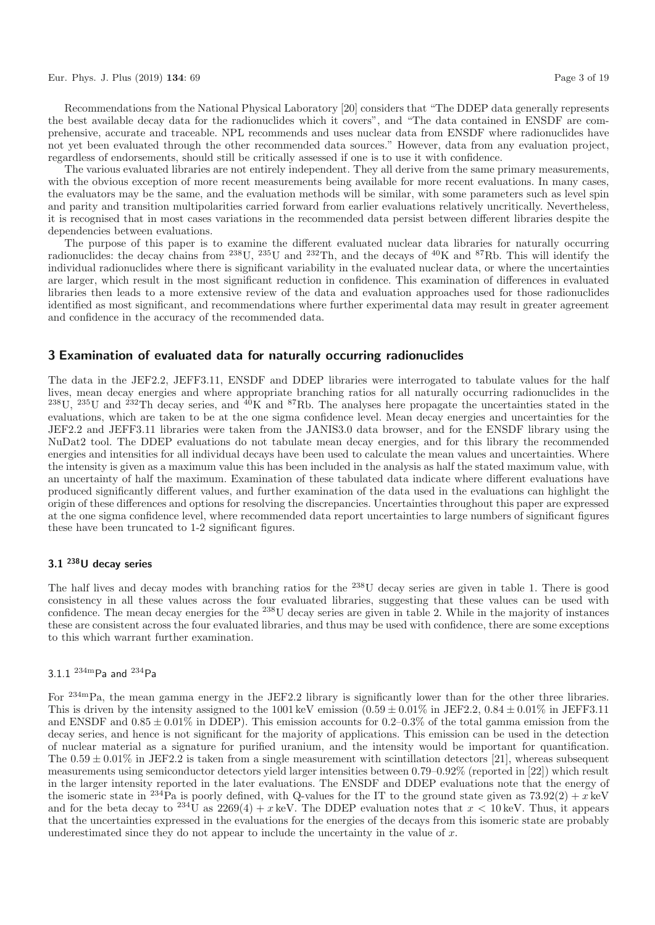Recommendations from the National Physical Laboratory [20] considers that "The DDEP data generally represents the best available decay data for the radionuclides which it covers", and "The data contained in ENSDF are comprehensive, accurate and traceable. NPL recommends and uses nuclear data from ENSDF where radionuclides have not yet been evaluated through the other recommended data sources." However, data from any evaluation project, regardless of endorsements, should still be critically assessed if one is to use it with confidence.

The various evaluated libraries are not entirely independent. They all derive from the same primary measurements, with the obvious exception of more recent measurements being available for more recent evaluations. In many cases, the evaluators may be the same, and the evaluation methods will be similar, with some parameters such as level spin and parity and transition multipolarities carried forward from earlier evaluations relatively uncritically. Nevertheless, it is recognised that in most cases variations in the recommended data persist between different libraries despite the dependencies between evaluations.

The purpose of this paper is to examine the different evaluated nuclear data libraries for naturally occurring radionuclides: the decay chains from  $^{238}$ U,  $^{235}$ U and  $^{232}$ Th, and the decays of  $^{40}$ K and  $^{87}$ Rb. This will identify the individual radionuclides where there is significant variability in the evaluated nuclear data, or where the uncertainties are larger, which result in the most significant reduction in confidence. This examination of differences in evaluated libraries then leads to a more extensive review of the data and evaluation approaches used for those radionuclides identified as most significant, and recommendations where further experimental data may result in greater agreement and confidence in the accuracy of the recommended data.

# **3 Examination of evaluated data for naturally occurring radionuclides**

The data in the JEF2.2, JEFF3.11, ENSDF and DDEP libraries were interrogated to tabulate values for the half lives, mean decay energies and where appropriate branching ratios for all naturally occurring radionuclides in the  $^{238}$ U,  $^{235}$ U and  $^{232}$ Th decay series, and  $^{40}$ K and  $^{87}$ Rb. The analyses here propagate the uncertainties stated in the evaluations, which are taken to be at the one sigma confidence level. Mean decay energies and uncertainties for the JEF2.2 and JEFF3.11 libraries were taken from the JANIS3.0 data browser, and for the ENSDF library using the NuDat2 tool. The DDEP evaluations do not tabulate mean decay energies, and for this library the recommended energies and intensities for all individual decays have been used to calculate the mean values and uncertainties. Where the intensity is given as a maximum value this has been included in the analysis as half the stated maximum value, with an uncertainty of half the maximum. Examination of these tabulated data indicate where different evaluations have produced significantly different values, and further examination of the data used in the evaluations can highlight the origin of these differences and options for resolving the discrepancies. Uncertainties throughout this paper are expressed at the one sigma confidence level, where recommended data report uncertainties to large numbers of significant figures these have been truncated to 1-2 significant figures.

# **3.1 238U decay series**

The half lives and decay modes with branching ratios for the <sup>238</sup>U decay series are given in table 1. There is good consistency in all these values across the four evaluated libraries, suggesting that these values can be used with confidence. The mean decay energies for the <sup>238</sup>U decay series are given in table 2. While in the majority of instances these are consistent across the four evaluated libraries, and thus may be used with confidence, there are some exceptions to this which warrant further examination.

# 3.1.1 234mPa and <sup>234</sup>Pa

For <sup>234m</sup>Pa, the mean gamma energy in the JEF2.2 library is significantly lower than for the other three libraries. This is driven by the intensity assigned to the 1001 keV emission  $(0.59 \pm 0.01\%$  in JEF2.2,  $0.84 \pm 0.01\%$  in JEFF3.11 and ENSDF and  $0.85 \pm 0.01\%$  in DDEP). This emission accounts for  $0.2{\text -}0.3\%$  of the total gamma emission from the decay series, and hence is not significant for the majority of applications. This emission can be used in the detection of nuclear material as a signature for purified uranium, and the intensity would be important for quantification. The  $0.59 \pm 0.01\%$  in JEF2.2 is taken from a single measurement with scintillation detectors [21], whereas subsequent measurements using semiconductor detectors yield larger intensities between 0.79–0.92% (reported in [22]) which result in the larger intensity reported in the later evaluations. The ENSDF and DDEP evaluations note that the energy of the isomeric state in <sup>234</sup>Pa is poorly defined, with Q-values for the IT to the ground state given as  $73.92(2) + x$  keV and for the beta decay to <sup>234</sup>U as  $2269(4) + x$  keV. The DDEP evaluation notes that  $x < 10$  keV. Thus, it appears that the uncertainties expressed in the evaluations for the energies of the decays from this isomeric state are probably underestimated since they do not appear to include the uncertainty in the value of  $x$ .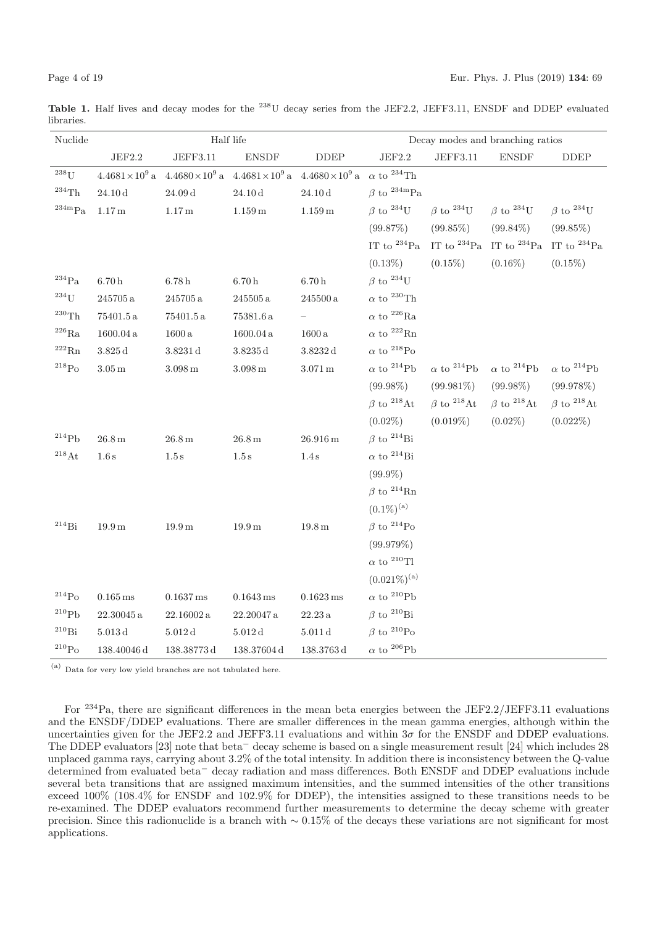Table 1. Half lives and decay modes for the <sup>238</sup>U decay series from the JEF2.2, JEFF3.11, ENSDF and DDEP evaluated libraries.

| Nuclide             |                        |                       | Half life                                     |                              | Decay modes and branching ratios |                               |                                     |                               |  |
|---------------------|------------------------|-----------------------|-----------------------------------------------|------------------------------|----------------------------------|-------------------------------|-------------------------------------|-------------------------------|--|
|                     | $\rm{JEF}2.2$          | JEFF3.11              | ${\rm ENSDF}$                                 | $\ensuremath{\mathsf{DDEP}}$ | $\rm{JEF}2.2$                    | $\rm JEFF3.11$                | <b>ENSDF</b>                        | <b>DDEP</b>                   |  |
| $^{238}$ U          | $4.4681\times10^{9}$ a |                       | $4.4680 \times 10^9$ a $4.4681 \times 10^9$ a | $4.4680\times10^{9}$ a       | $\alpha$ to $^{234}$ Th          |                               |                                     |                               |  |
| $^{234}\mathrm{Th}$ | $24.10\,\rm{d}$        | $24.09\,\mathrm{d}$   | $24.10\,\rm{d}$                               | $24.10\,\rm{d}$              | $\beta$ to $^{234m}Pa$           |                               |                                     |                               |  |
| $^{234m}Pa$         | $1.17\,\mathrm{m}$     | $1.17\,\mathrm{m}$    | $1.159\,\mathrm{m}$                           | $1.159\,\mathrm{m}$          | $\beta$ to $^{234}$ U            | $\beta$ to $^{234}$ U         | $\beta$ to $^{234}$ U               | $\beta$ to $^{234}$ U         |  |
|                     |                        |                       |                                               |                              | (99.87%)                         | $(99.85\%)$                   | $(99.84\%)$                         | $(99.85\%)$                   |  |
|                     |                        |                       |                                               |                              | IT to $^{234}Pa$                 |                               | IT to $^{234}$ Pa IT to $^{234}$ Pa | IT to $^{234}Pa$              |  |
|                     |                        |                       |                                               |                              | $(0.13\%)$                       | $(0.15\%)$                    | $(0.16\%)$                          | $(0.15\%)$                    |  |
| $^{234}\mathrm{Pa}$ | $6.70\,\mathrm{h}$     | $6.78\,\mathrm{h}$    | $6.70\,\mathrm{h}$                            | $6.70\,\mathrm{h}$           | $\beta$ to $^{234}$ U            |                               |                                     |                               |  |
| $234$ U             | $245705\,\mathrm{a}$   | $245705\,\mathrm{a}$  | $245505\,\mathrm{a}$                          | $245500\,\mathrm{a}$         | $\alpha$ to $^{230}\mathrm{Th}$  |                               |                                     |                               |  |
| $^{230}$ Th         | $75401.5\,\mathrm{a}$  | $75401.5\,\mathrm{a}$ | $75381.6\,\mathrm{a}$                         |                              | $\alpha$ to $^{226}\mathrm{Ra}$  |                               |                                     |                               |  |
| $^{226}\mathrm{Ra}$ | $1600.04\,\mathrm{a}$  | $1600\,\mathrm{a}$    | $1600.04\,\mathrm{a}$                         | 1600a                        | $\alpha$ to $^{222}{\rm Rn}$     |                               |                                     |                               |  |
| $^{222}\mathrm{Rn}$ | $3.825\,{\rm d}$       | $3.8231\,\rm{d}$      | $3.8235\,\mathrm{d}$                          | $3.8232\,{\rm d}$            | $\alpha$ to $^{218}{\rm Po}$     |                               |                                     |                               |  |
| $^{218}\mathrm{Po}$ | $3.05\,\mathrm{m}$     | $3.098\,\mathrm{m}$   | $3.098\,\mathrm{m}$                           | $3.071\,\mathrm{m}$          | $\alpha$ to $^{214}{\rm Pb}$     | $\alpha$ to <sup>214</sup> Pb | $\alpha$ to <sup>214</sup> Pb       | $\alpha$ to <sup>214</sup> Pb |  |
|                     |                        |                       |                                               |                              | $(99.98\%)$                      | $(99.981\%)$                  | $(99.98\%)$                         | (99.978%)                     |  |
|                     |                        |                       |                                               |                              | $\beta$ to <sup>218</sup> At     | $\beta$ to <sup>218</sup> At  | $\beta$ to <sup>218</sup> At        | $\beta$ to $^{218}$ At        |  |
|                     |                        |                       |                                               |                              | $(0.02\%)$                       | $(0.019\%)$                   | $(0.02\%)$                          | $(0.022\%)$                   |  |
| $^{214}Pb$          | $26.8\,\mathrm{m}$     | $26.8\,\mathrm{m}$    | $26.8\,\mathrm{m}$                            | $26.916\,\mathrm{m}$         | $\beta$ to <sup>214</sup> Bi     |                               |                                     |                               |  |
| $^{218}\mathrm{At}$ | $1.6\,\mathrm{s}$      | $1.5\,\mathrm{s}$     | $1.5\,\mathrm{s}$                             | 1.4 s                        | $\alpha$ to <sup>214</sup> Bi    |                               |                                     |                               |  |
|                     |                        |                       |                                               |                              | $(99.9\%)$                       |                               |                                     |                               |  |
|                     |                        |                       |                                               |                              | $\beta$ to $^{214}$ Rn           |                               |                                     |                               |  |
|                     |                        |                       |                                               |                              | $(0.1\%)^{(a)}$                  |                               |                                     |                               |  |
| $^{214}\mathrm{Bi}$ | $19.9\,\mathrm{m}$     | 19.9 <sub>m</sub>     | $19.9\,\mathrm{m}$                            | $19.8\,\mathrm{m}$           | $\beta$ to $^{214}$ Po           |                               |                                     |                               |  |
|                     |                        |                       |                                               |                              | (99.979%)                        |                               |                                     |                               |  |
|                     |                        |                       |                                               |                              | $\alpha$ to $^{210}\mathrm{TI}$  |                               |                                     |                               |  |
|                     |                        |                       |                                               |                              | $(0.021\%)^{(a)}$                |                               |                                     |                               |  |
| $\rm ^{214}Po$      | $0.165\,\mathrm{ms}$   | $0.1637\,\mathrm{ms}$ | $0.1643\,\mathrm{ms}$                         | $0.1623\,\mathrm{ms}$        | $\alpha$ to $^{210}{\rm Pb}$     |                               |                                     |                               |  |
| $^{210}\mathrm{Pb}$ | $22.30045\,\mathrm{a}$ | 22.16002a             | 22.20047a                                     | $22.23\,\mathrm{a}$          | $\beta$ to <sup>210</sup> Bi     |                               |                                     |                               |  |
| $^{210}\mathrm{Bi}$ | $5.013\,{\rm d}$       | 5.012 d               | 5.012 d                                       | 5.011 d                      | $\beta$ to <sup>210</sup> Po     |                               |                                     |                               |  |
| $^{210}\mathrm{Po}$ | 138.40046 d            | 138.38773d            | 138.37604 d                                   | $138.3763\,\mathrm{d}$       | $\alpha$ to $^{206}\mathrm{Pb}$  |                               |                                     |                               |  |

(a) Data for very low yield branches are not tabulated here.

For <sup>234</sup>Pa, there are significant differences in the mean beta energies between the JEF2.2/JEFF3.11 evaluations and the ENSDF/DDEP evaluations. There are smaller differences in the mean gamma energies, although within the uncertainties given for the JEF2.2 and JEFF3.11 evaluations and within  $3\sigma$  for the ENSDF and DDEP evaluations. The DDEP evaluators [23] note that beta<sup>−</sup> decay scheme is based on a single measurement result [24] which includes 28 unplaced gamma rays, carrying about 3.2% of the total intensity. In addition there is inconsistency between the Q-value determined from evaluated beta<sup>−</sup> decay radiation and mass differences. Both ENSDF and DDEP evaluations include several beta transitions that are assigned maximum intensities, and the summed intensities of the other transitions exceed 100% (108.4% for ENSDF and 102.9% for DDEP), the intensities assigned to these transitions needs to be re-examined. The DDEP evaluators recommend further measurements to determine the decay scheme with greater precision. Since this radionuclide is a branch with ∼ 0.15% of the decays these variations are not significant for most applications.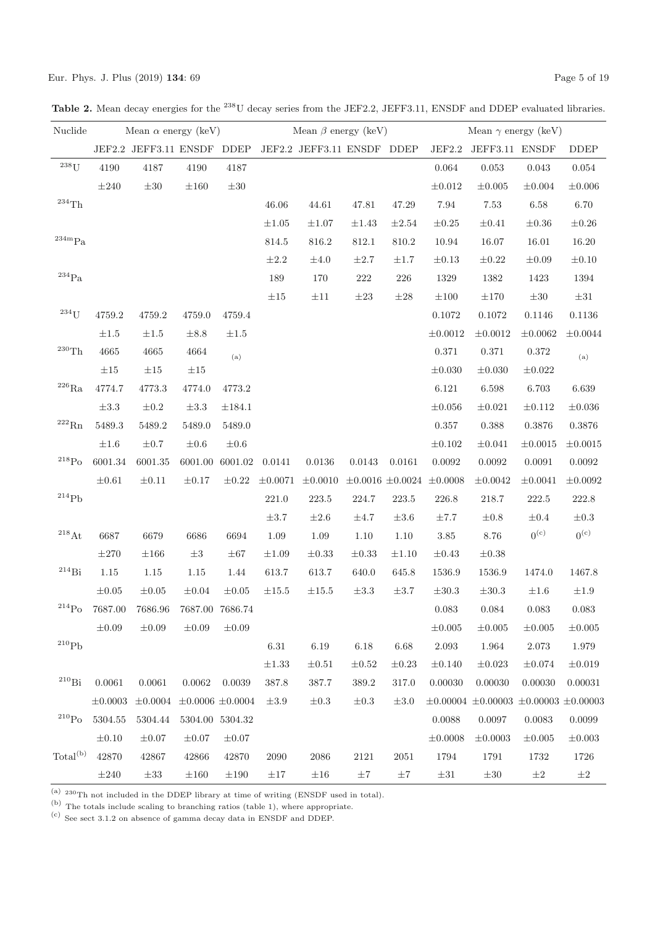Table 2. Mean decay energies for the <sup>238</sup>U decay series from the JEF2.2, JEFF3.11, ENSDF and DDEP evaluated libraries.

| Nuclide                       |              | Mean $\alpha$ energy (keV) |                         |                 |            | Mean $\beta$ energy (keV)            |            |            |                                    | Mean $\gamma$ energy (keV)                        |                  |                  |
|-------------------------------|--------------|----------------------------|-------------------------|-----------------|------------|--------------------------------------|------------|------------|------------------------------------|---------------------------------------------------|------------------|------------------|
|                               |              | JEF2.2 JEFF3.11 ENSDF DDEP |                         |                 |            | JEF2.2 JEFF3.11 ENSDF DDEP           |            |            | JEF2.2                             | JEFF3.11 ENSDF                                    |                  | <b>DDEP</b>      |
| $238$ U                       | 4190         | 4187                       | 4190                    | 4187            |            |                                      |            |            | $\,0.064\,$                        | 0.053                                             | $\,0.043\,$      | $\,0.054\,$      |
|                               | $\pm 240$    | $\pm30$                    | $\pm 160$               | $\pm 30$        |            |                                      |            |            | $\pm 0.012$                        | $\pm 0.005$                                       | $\pm 0.004$      | $\pm 0.006$      |
| $^{234}\mathrm{Th}$           |              |                            |                         |                 | 46.06      | 44.61                                | 47.81      | $47.29\,$  | 7.94                               | 7.53                                              | 6.58             | $6.70\,$         |
|                               |              |                            |                         |                 | $\pm 1.05$ | $\pm 1.07$                           | $\pm 1.43$ | $\pm 2.54$ | $\pm 0.25$                         | $\pm 0.41$                                        | $\pm 0.36$       | $\pm 0.26$       |
| $^{234\mathrm{m}}\mathrm{Pa}$ |              |                            |                         |                 | 814.5      | $816.2\,$                            | $812.1\,$  | 810.2      | 10.94                              | 16.07                                             | 16.01            | 16.20            |
|                               |              |                            |                         |                 | $\pm 2.2$  | $\pm 4.0$                            | $\pm 2.7$  | $\pm 1.7$  | $\pm 0.13$                         | $\pm 0.22$                                        | $\pm 0.09$       | $\pm 0.10$       |
| $\rm ^{234}Pa$                |              |                            |                         |                 | 189        | 170                                  | $222\,$    | 226        | 1329                               | 1382                                              | 1423             | 1394             |
|                               |              |                            |                         |                 | $\pm 15$   | $\pm 11$                             | $\pm 23$   | $\pm 28$   | $\pm 100$                          | $\pm 170$                                         | $\pm30$          | $\pm 31$         |
| $234$ U                       | 4759.2       | $4759.2\,$                 | 4759.0                  | 4759.4          |            |                                      |            |            | $0.1072\,$                         | 0.1072                                            | 0.1146           | 0.1136           |
|                               | $\pm 1.5$    | $\pm 1.5$                  | $\pm 8.8$               | $\pm 1.5$       |            |                                      |            |            | $\pm 0.0012$                       | $\pm 0.0012$                                      | $\pm 0.0062$     | $\pm 0.0044$     |
| $\rm ^{230}Th$                | $4665\,$     | 4665                       | 4664                    | (a)             |            |                                      |            |            | 0.371                              | 0.371                                             | 0.372            | (a)              |
|                               | $\pm 15$     | $\pm 15$                   | $\pm 15$                |                 |            |                                      |            |            | $\pm 0.030$                        | $\pm 0.030$                                       | $\pm 0.022$      |                  |
| $^{226}\mathrm{Ra}$           | 4774.7       | 4773.3                     | 4774.0                  | 4773.2          |            |                                      |            |            | 6.121                              | 6.598                                             | 6.703            | 6.639            |
|                               | $\pm 3.3$    | $\pm 0.2$                  | $\pm 3.3$               | $\pm 184.1$     |            |                                      |            |            | $\pm 0.056$                        | $\pm 0.021$                                       | $\pm 0.112$      | $\pm 0.036$      |
| $^{222}\mathrm{Rn}$           | 5489.3       | 5489.2                     | 5489.0                  | 5489.0          |            |                                      |            |            | 0.357                              | 0.388                                             | 0.3876           | 0.3876           |
|                               | $\pm 1.6$    | $\pm 0.7$                  | $\pm 0.6$               | $\pm 0.6$       |            |                                      |            |            | $\pm 0.102$                        | $\pm 0.041$                                       | $\pm 0.0015$     | $\pm 0.0015$     |
| $\mathrm{^{218}Po}$           | 6001.34      | 6001.35                    | 6001.00                 | 6001.02         | 0.0141     | 0.0136                               | 0.0143     | 0.0161     | 0.0092                             | 0.0092                                            | 0.0091           | 0.0092           |
|                               | $\pm 0.61$   | $\pm 0.11$                 | $\pm 0.17$              |                 |            | $\pm 0.22$ $\pm 0.0071$ $\pm 0.0010$ |            |            | $\pm 0.0016 \pm 0.0024 \pm 0.0008$ | $\pm 0.0042$                                      | $\pm 0.0041$     | $\pm 0.0092$     |
| $^{214}Pb$                    |              |                            |                         |                 | $221.0\,$  | $223.5\,$                            | 224.7      | $223.5\,$  | 226.8                              | $218.7\,$                                         | 222.5            | 222.8            |
|                               |              |                            |                         |                 | $\pm 3.7$  | $\pm 2.6$                            | $\pm 4.7$  | $\pm 3.6$  | $\pm 7.7$                          | $\pm 0.8$                                         | $\pm 0.4$        | $\pm 0.3$        |
| $^{218}\mathrm{At}$           | 6687         | 6679                       | 6686                    | 6694            | 1.09       | $1.09\,$                             | 1.10       | 1.10       | $3.85\,$                           | 8.76                                              | 0 <sup>(c)</sup> | 0 <sup>(c)</sup> |
|                               | $\pm 270$    | $\pm 166$                  | $\pm 3$                 | $\pm 67$        | $\pm 1.09$ | $\pm 0.33$                           | $\pm 0.33$ | $\pm 1.10$ | $\pm 0.43$                         | $\pm 0.38$                                        |                  |                  |
| $\rm ^{214}Bi$                | $1.15\,$     | 1.15                       | 1.15                    | 1.44            | 613.7      | 613.7                                | 640.0      | 645.8      | 1536.9                             | 1536.9                                            | 1474.0           | 1467.8           |
|                               | $\pm 0.05$   | $\pm 0.05$                 | $\pm 0.04$              | $\pm 0.05$      | $\pm 15.5$ | $\pm 15.5$                           | $\pm 3.3$  | $\pm 3.7$  | $\pm 30.3$                         | $\pm 30.3$                                        | $\pm 1.6$        | $\pm 1.9$        |
| $^{214}Po$                    | 7687.00      | 7686.96                    |                         | 7687.00 7686.74 |            |                                      |            |            | 0.083                              | 0.084                                             | 0.083            | 0.083            |
|                               | $\pm 0.09$   | $\pm 0.09$                 | $\pm 0.09$              | $\pm 0.09$      |            |                                      |            |            | $\pm 0.005$                        | $\pm 0.005$                                       | $\pm 0.005$      | $\pm 0.005$      |
| $^{210}Pb$                    |              |                            |                         |                 | 6.31       | $6.19\,$                             | 6.18       | 6.68       | 2.093                              | 1.964                                             | 2.073            | 1.979            |
|                               |              |                            |                         |                 | $\pm 1.33$ | $\pm 0.51$                           | $\pm 0.52$ | $\pm 0.23$ | $\pm 0.140$                        | $\pm 0.023$                                       | $\pm 0.074$      | $\pm 0.019$      |
| $^{210}\mathrm{Bi}$           | 0.0061       | 0.0061                     | 0.0062                  | 0.0039          | 387.8      | 387.7                                | 389.2      | 317.0      | 0.00030                            | 0.00030                                           | 0.00030          | 0.00031          |
|                               | $\pm 0.0003$ | $\pm 0.0004$               | $\pm 0.0006 \pm 0.0004$ |                 | $\pm 3.9$  | $\pm 0.3$                            | $\pm 0.3$  | $\pm 3.0$  |                                    | $\pm 0.00004 \pm 0.00003 \pm 0.00003 \pm 0.00003$ |                  |                  |
| $\rm ^{210}Po$                | 5304.55      | 5304.44                    |                         | 5304.00 5304.32 |            |                                      |            |            | 0.0088                             | 0.0097                                            | 0.0083           | 0.0099           |
|                               | $\pm 0.10$   | $\pm 0.07$                 | $\pm 0.07$              | $\pm 0.07$      |            |                                      |            |            | $\pm 0.0008$                       | $\pm 0.0003$                                      | $\pm 0.005$      | $\pm 0.003$      |
| Total <sup>(b)</sup>          | 42870        | 42867                      | 42866                   | 42870           | 2090       | 2086                                 | $2121\,$   | 2051       | 1794                               | 1791                                              | 1732             | 1726             |
|                               | $\pm 240$    | $\pm 33$                   | $\pm 160$               | $\pm 190$       | $\pm 17$   | $\pm 16$                             | $\pm7$     | $\pm7$     | $\pm 31$                           | $\pm30$                                           | $\pm 2$          | $\pm 2$          |

(a)  $230 \text{Th}$  not included in the DDEP library at time of writing (ENSDF used in total).

(b) The totals include scaling to branching ratios (table 1), where appropriate.

 $(c)$  See sect 3.1.2 on absence of gamma decay data in ENSDF and DDEP.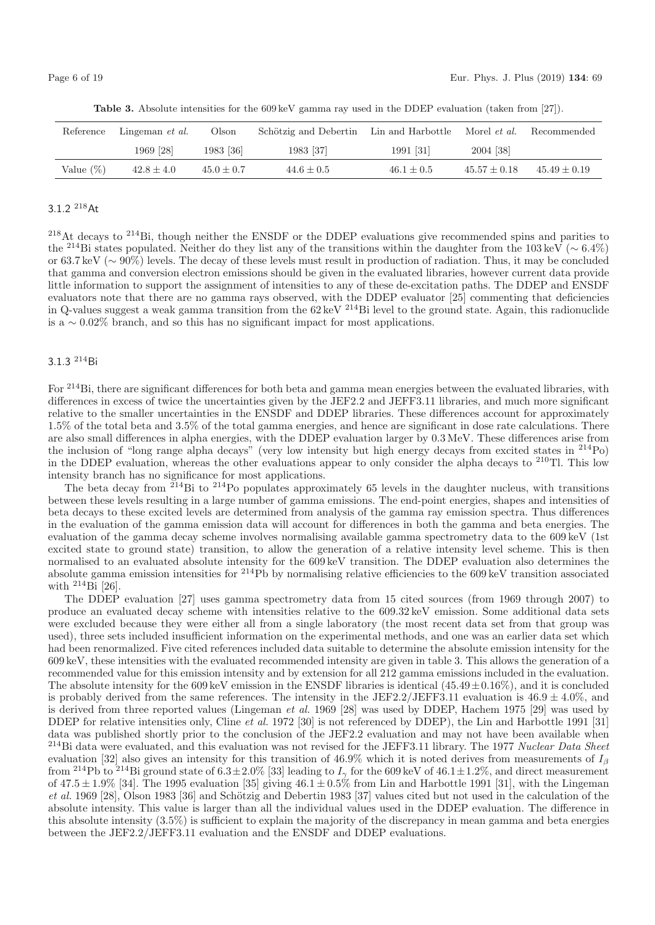| Reference    | Lingeman <i>et al.</i> | Olson        | Schötzig and Debertin | Lin and Harbottle | Morel <i>et al.</i><br>Recommended |                |
|--------------|------------------------|--------------|-----------------------|-------------------|------------------------------------|----------------|
|              | 1969 [28]              | 1983 [36]    | 1983 [37]             | 1991 [31]         | 2004 [38]                          |                |
| Value $(\%)$ | $42.8 \pm 4.0$         | $45.0 + 0.7$ | $44.6 \pm 0.5$        | $46.1 + 0.5$      | $45.57 + 0.18$                     | $45.49 + 0.19$ |

**Table 3.** Absolute intensities for the 609 keV gamma ray used in the DDEP evaluation (taken from [27]).

# 3.1.2 <sup>218</sup>At

<sup>218</sup>At decays to <sup>214</sup>Bi, though neither the ENSDF or the DDEP evaluations give recommended spins and parities to the <sup>214</sup>Bi states populated. Neither do they list any of the transitions within the daughter from the 103 keV ( $\sim 6.4\%$ ) or 63.7keV (∼ 90%) levels. The decay of these levels must result in production of radiation. Thus, it may be concluded that gamma and conversion electron emissions should be given in the evaluated libraries, however current data provide little information to support the assignment of intensities to any of these de-excitation paths. The DDEP and ENSDF evaluators note that there are no gamma rays observed, with the DDEP evaluator [25] commenting that deficiencies in Q-values suggest a weak gamma transition from the  $62 \text{ keV}$  <sup>214</sup>Bi level to the ground state. Again, this radionuclide is a  $\sim 0.02\%$  branch, and so this has no significant impact for most applications.

#### 3.1.3 <sup>214</sup>Bi

For <sup>214</sup>Bi, there are significant differences for both beta and gamma mean energies between the evaluated libraries, with differences in excess of twice the uncertainties given by the JEF2.2 and JEFF3.11 libraries, and much more significant relative to the smaller uncertainties in the ENSDF and DDEP libraries. These differences account for approximately 1.5% of the total beta and 3.5% of the total gamma energies, and hence are significant in dose rate calculations. There are also small differences in alpha energies, with the DDEP evaluation larger by 0.3MeV. These differences arise from the inclusion of "long range alpha decays" (very low intensity but high energy decays from excited states in <sup>214</sup>Po) in the DDEP evaluation, whereas the other evaluations appear to only consider the alpha decays to <sup>210</sup>Tl. This low intensity branch has no significance for most applications.

The beta decay from  $2^{14}$ Bi to  $2^{14}$ Po populates approximately 65 levels in the daughter nucleus, with transitions between these levels resulting in a large number of gamma emissions. The end-point energies, shapes and intensities of beta decays to these excited levels are determined from analysis of the gamma ray emission spectra. Thus differences in the evaluation of the gamma emission data will account for differences in both the gamma and beta energies. The evaluation of the gamma decay scheme involves normalising available gamma spectrometry data to the 609keV (1st excited state to ground state) transition, to allow the generation of a relative intensity level scheme. This is then normalised to an evaluated absolute intensity for the 609 keV transition. The DDEP evaluation also determines the absolute gamma emission intensities for <sup>214</sup>Pb by normalising relative efficiencies to the 609 keV transition associated with  $^{214}$ Bi [26].

The DDEP evaluation [27] uses gamma spectrometry data from 15 cited sources (from 1969 through 2007) to produce an evaluated decay scheme with intensities relative to the 609.32keV emission. Some additional data sets were excluded because they were either all from a single laboratory (the most recent data set from that group was used), three sets included insufficient information on the experimental methods, and one was an earlier data set which had been renormalized. Five cited references included data suitable to determine the absolute emission intensity for the 609keV, these intensities with the evaluated recommended intensity are given in table 3. This allows the generation of a recommended value for this emission intensity and by extension for all 212 gamma emissions included in the evaluation. The absolute intensity for the 609 keV emission in the ENSDF libraries is identical  $(45.49 \pm 0.16\%)$ , and it is concluded is probably derived from the same references. The intensity in the JEF2.2/JEFF3.11 evaluation is  $46.9 \pm 4.0\%$ , and is derived from three reported values (Lingeman et al. 1969 [28] was used by DDEP, Hachem 1975 [29] was used by DDEP for relative intensities only, Cline et al. 1972 [30] is not referenced by DDEP), the Lin and Harbottle 1991 [31] data was published shortly prior to the conclusion of the JEF2.2 evaluation and may not have been available when <sup>214</sup>Bi data were evaluated, and this evaluation was not revised for the JEFF3.11 library. The 1977 Nuclear Data Sheet evaluation [32] also gives an intensity for this transition of 46.9% which it is noted derives from measurements of  $I_\beta$ from <sup>214</sup>Pb to <sup>214</sup>Bi ground state of  $6.3 \pm 2.0\%$  [33] leading to  $I_{\gamma}$  for the 609 keV of 46.1 $\pm$ 1.2%, and direct measurement of  $47.5 \pm 1.9\%$  [34]. The 1995 evaluation [35] giving  $46.1 \pm 0.5\%$  from Lin and Harbottle 1991 [31], with the Lingeman et al. 1969 [28], Olson 1983 [36] and Schötzig and Debertin 1983 [37] values cited but not used in the calculation of the absolute intensity. This value is larger than all the individual values used in the DDEP evaluation. The difference in this absolute intensity (3.5%) is sufficient to explain the majority of the discrepancy in mean gamma and beta energies between the JEF2.2/JEFF3.11 evaluation and the ENSDF and DDEP evaluations.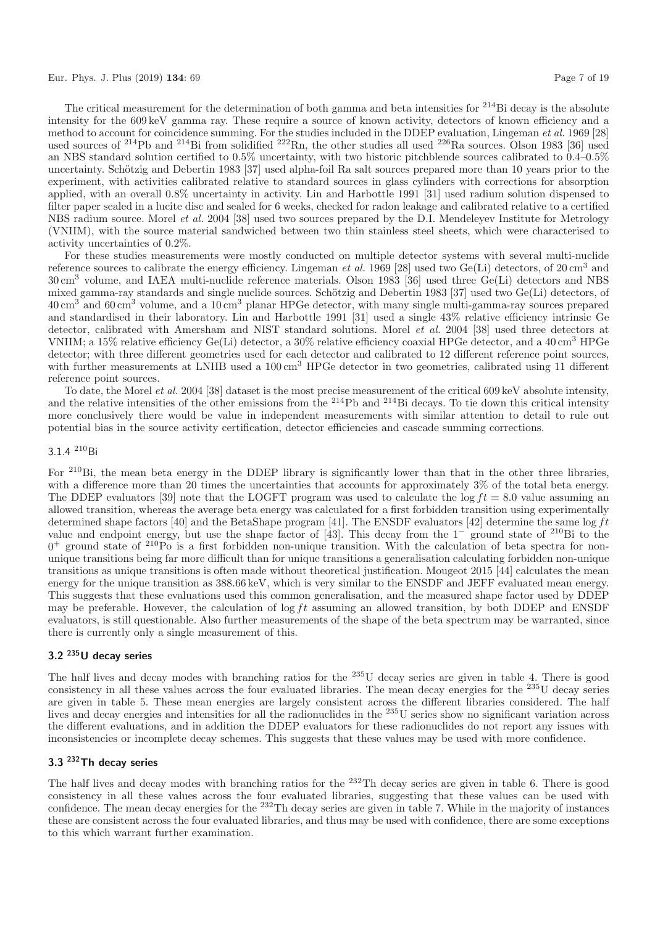#### Eur. Phys. J. Plus (2019) **134**: 69 Page 7 of 19

The critical measurement for the determination of both gamma and beta intensities for  $^{214}$ Bi decay is the absolute intensity for the 609keV gamma ray. These require a source of known activity, detectors of known efficiency and a method to account for coincidence summing. For the studies included in the DDEP evaluation, Lingeman et al. 1969 [28] used sources of  $^{214}Pb$  and  $^{214}Bi$  from solidified  $^{222}Rn$ , the other studies all used  $^{226}Ra$  sources. Olson 1983 [36] used an NBS standard solution certified to 0.5% uncertainty, with two historic pitchblende sources calibrated to 0.4–0.5% uncertainty. Schötzig and Debertin 1983 [37] used alpha-foil Ra salt sources prepared more than 10 years prior to the experiment, with activities calibrated relative to standard sources in glass cylinders with corrections for absorption applied, with an overall 0.8% uncertainty in activity. Lin and Harbottle 1991 [31] used radium solution dispensed to filter paper sealed in a lucite disc and sealed for 6 weeks, checked for radon leakage and calibrated relative to a certified NBS radium source. Morel *et al.* 2004 [38] used two sources prepared by the D.I. Mendeleyev Institute for Metrology (VNIIM), with the source material sandwiched between two thin stainless steel sheets, which were characterised to activity uncertainties of 0.2%.

For these studies measurements were mostly conducted on multiple detector systems with several multi-nuclide reference sources to calibrate the energy efficiency. Lingeman *et al.* 1969 [28] used two Ge(Li) detectors, of 20 cm<sup>3</sup> and 30cm<sup>3</sup> volume, and IAEA multi-nuclide reference materials. Olson 1983 [36] used three Ge(Li) detectors and NBS mixed gamma-ray standards and single nuclide sources. Schötzig and Debertin 1983 [37] used two  $Ge(Li)$  detectors, of 40cm<sup>3</sup> and 60cm<sup>3</sup> volume, and a 10cm<sup>3</sup> planar HPGe detector, with many single multi-gamma-ray sources prepared and standardised in their laboratory. Lin and Harbottle 1991 [31] used a single 43% relative efficiency intrinsic Ge detector, calibrated with Amersham and NIST standard solutions. Morel et al. 2004 [38] used three detectors at VNIIM; a 15% relative efficiency  $Ge(L)$  detector, a 30% relative efficiency coaxial HPGe detector, and a 40 cm<sup>3</sup> HPGe detector; with three different geometries used for each detector and calibrated to 12 different reference point sources, with further measurements at LNHB used a 100 cm<sup>3</sup> HPGe detector in two geometries, calibrated using 11 different reference point sources.

To date, the Morel et al. 2004 [38] dataset is the most precise measurement of the critical 609keV absolute intensity, and the relative intensities of the other emissions from the <sup>214</sup>Pb and <sup>214</sup>Bi decays. To tie down this critical intensity more conclusively there would be value in independent measurements with similar attention to detail to rule out potential bias in the source activity certification, detector efficiencies and cascade summing corrections.

## 3.1.4 <sup>210</sup>Bi

For <sup>210</sup>Bi, the mean beta energy in the DDEP library is significantly lower than that in the other three libraries, with a difference more than 20 times the uncertainties that accounts for approximately 3% of the total beta energy. The DDEP evaluators [39] note that the LOGFT program was used to calculate the  $\log ft = 8.0$  value assuming an allowed transition, whereas the average beta energy was calculated for a first forbidden transition using experimentally determined shape factors [40] and the BetaShape program [41]. The ENSDF evaluators [42] determine the same  $\log ft$ value and endpoint energy, but use the shape factor of [43]. This decay from the 1<sup>−</sup> ground state of <sup>210</sup>Bi to the  $0^+$  ground state of  $^{210}P\overline{o}$  is a first forbidden non-unique transition. With the calculation of beta spectra for nonunique transitions being far more difficult than for unique transitions a generalisation calculating forbidden non-unique transitions as unique transitions is often made without theoretical justification. Mougeot 2015 [44] calculates the mean energy for the unique transition as  $388.66 \,\text{keV}$ , which is very similar to the ENSDF and JEFF evaluated mean energy. This suggests that these evaluations used this common generalisation, and the measured shape factor used by DDEP may be preferable. However, the calculation of log ft assuming an allowed transition, by both DDEP and ENSDF evaluators, is still questionable. Also further measurements of the shape of the beta spectrum may be warranted, since there is currently only a single measurement of this.

# **3.2 235U decay series**

The half lives and decay modes with branching ratios for the <sup>235</sup>U decay series are given in table 4. There is good consistency in all these values across the four evaluated libraries. The mean decay energies for the <sup>235</sup>U decay series are given in table 5. These mean energies are largely consistent across the different libraries considered. The half lives and decay energies and intensities for all the radionuclides in the <sup>235</sup>U series show no significant variation across the different evaluations, and in addition the DDEP evaluators for these radionuclides do not report any issues with inconsistencies or incomplete decay schemes. This suggests that these values may be used with more confidence.

# **3.3 232Th decay series**

The half lives and decay modes with branching ratios for the <sup>232</sup>Th decay series are given in table 6. There is good consistency in all these values across the four evaluated libraries, suggesting that these values can be used with confidence. The mean decay energies for the <sup>232</sup>Th decay series are given in table 7. While in the majority of instances these are consistent across the four evaluated libraries, and thus may be used with confidence, there are some exceptions to this which warrant further examination.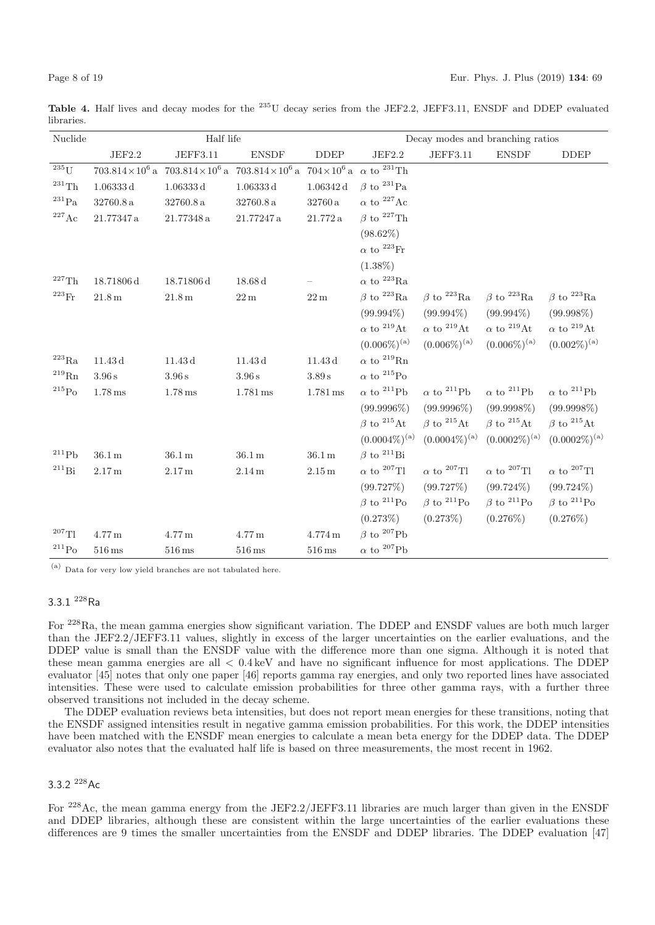**Table 4.** Half lives and decay modes for the <sup>235</sup>U decay series from the JEF2.2, JEFF3.11, ENSDF and DDEP evaluated libraries.

| Nuclide             | Half life<br>Decay modes and branching ratios |                                                                                                                                                                       |                       |                              |                               |                               |                               |                               |
|---------------------|-----------------------------------------------|-----------------------------------------------------------------------------------------------------------------------------------------------------------------------|-----------------------|------------------------------|-------------------------------|-------------------------------|-------------------------------|-------------------------------|
|                     | $\rm{JEF}2.2$                                 | JEFF3.11                                                                                                                                                              | <b>ENSDF</b>          | $\ensuremath{\mathsf{DDEP}}$ | JEF2.2                        | JEFF3.11                      | <b>ENSDF</b>                  | <b>DDEP</b>                   |
| $235$ <sup>T</sup>  |                                               | 703.814 $\times$ 10 <sup>6</sup> a 703.814 $\times$ 10 <sup>6</sup> a 703.814 $\times$ 10 <sup>6</sup> a 704 $\times$ 10 <sup>6</sup> a $\alpha$ to <sup>231</sup> Th |                       |                              |                               |                               |                               |                               |
| $^{231}$ Th         | $1.06333\,\mathrm{d}$                         | 1.06333 d                                                                                                                                                             | 1.06333 d             | $1.06342\,{\rm d}$           | $\beta$ to $^{231}$ Pa        |                               |                               |                               |
| $^{231}\mathrm{Pa}$ | 32760.8a                                      | 32760.8a                                                                                                                                                              | 32760.8a              | $32760\,\mathrm{a}$          | $\alpha$ to <sup>227</sup> Ac |                               |                               |                               |
| $^{227}\mathrm{Ac}$ | 21.77347a                                     | 21.77348a                                                                                                                                                             | 21.77247a             | $21.772\,\mathrm{a}$         | $\beta$ to <sup>227</sup> Th  |                               |                               |                               |
|                     |                                               |                                                                                                                                                                       |                       |                              | $(98.62\%)$                   |                               |                               |                               |
|                     |                                               |                                                                                                                                                                       |                       |                              | $\alpha$ to $^{223}\rm{Fr}$   |                               |                               |                               |
|                     |                                               |                                                                                                                                                                       |                       |                              | $(1.38\%)$                    |                               |                               |                               |
| $227$ Th            | 18.71806d                                     | 18.71806d                                                                                                                                                             | $18.68\,\mathrm{d}$   |                              | $\alpha$ to $^{223}$ Ra       |                               |                               |                               |
| $^{223}\rm{Fr}$     | $21.8\,\mathrm{m}$                            | $21.8\,\mathrm{m}$                                                                                                                                                    | $22\,\mathrm{m}$      | $22\,\mathrm{m}$             | $\beta$ to $^{223}$ Ra        | $\beta$ to $^{223}$ Ra        | $\beta$ to $^{223}$ Ra        | $\beta$ to $^{223}$ Ra        |
|                     |                                               |                                                                                                                                                                       |                       |                              | $(99.994\%)$                  | $(99.994\%)$                  | $(99.994\%)$                  | $(99.998\%)$                  |
|                     |                                               |                                                                                                                                                                       |                       |                              | $\alpha$ to $^{219}\text{At}$ | $\alpha$ to <sup>219</sup> At | $\alpha$ to <sup>219</sup> At | $\alpha$ to $^{219}\text{At}$ |
|                     |                                               |                                                                                                                                                                       |                       |                              | $(0.006\%)^{(a)}$             | $(0.006\%)^{\text{(a)}}$      | $(0.006\%)^{\text{(a)}}$      | $(0.002\%)^{\text{(a)}}$      |
| $^{223}\mathrm{Ra}$ | $11.43\,\mathrm{d}$                           | 11.43d                                                                                                                                                                | 11.43d                | $11.43\,\mathrm{d}$          | $\alpha$ to $^{219}$ Rn       |                               |                               |                               |
| $^{219}\mathrm{Rn}$ | 3.96 s                                        | 3.96 s                                                                                                                                                                | 3.96 s                | $3.89\,\mathrm{s}$           | $\alpha$ to <sup>215</sup> Po |                               |                               |                               |
| $\mathrm{^{215}Po}$ | $1.78 \,\mathrm{ms}$                          | $1.78 \,\mathrm{ms}$                                                                                                                                                  | $1.781 \,\mathrm{ms}$ | $1.781\,\mathrm{ms}$         | $\alpha$ to <sup>211</sup> Pb | $\alpha$ to <sup>211</sup> Pb | $\alpha$ to <sup>211</sup> Pb | $\alpha$ to <sup>211</sup> Pb |
|                     |                                               |                                                                                                                                                                       |                       |                              | $(99.9996\%)$                 | $(99.9996\%)$                 | $(99.9998\%)$                 | $(99.9998\%)$                 |
|                     |                                               |                                                                                                                                                                       |                       |                              | $\beta$ to $^{215}$ At        | $\beta$ to $^{215}$ At        | $\beta$ to $^{215}$ At        | $\beta$ to $^{215}$ At        |
|                     |                                               |                                                                                                                                                                       |                       |                              | $(0.0004\%)^{\text{(a)}}$     | $(0.0004\%)^{\text{(a)}}$     | $(0.0002\%)^{\text{(a)}}$     | $(0.0002\%)^{\text{(a)}}$     |
| $^{211}Pb$          | $36.1\,\mathrm{m}$                            | $36.1\,\mathrm{m}$                                                                                                                                                    | 36.1 m                | $36.1\,\mathrm{m}$           | $\beta$ to <sup>211</sup> Bi  |                               |                               |                               |
| $^{211}Bi$          | $2.17\,\mathrm{m}$                            | 2.17 <sub>m</sub>                                                                                                                                                     | $2.14\,\mathrm{m}$    | $2.15\,\mathrm{m}$           | $\alpha$ to <sup>207</sup> Tl | $\alpha$ to <sup>207</sup> Tl | $\alpha$ to <sup>207</sup> Tl | $\alpha$ to <sup>207</sup> Tl |
|                     |                                               |                                                                                                                                                                       |                       |                              | (99.727%)                     | (99.727%)                     | $(99.724\%)$                  | $(99.724\%)$                  |
|                     |                                               |                                                                                                                                                                       |                       |                              | $\beta$ to $^{211}$ Po        | $\beta$ to $^{211}$ Po        | $\beta$ to $^{211}$ Po        | $\beta$ to <sup>211</sup> Po  |
|                     |                                               |                                                                                                                                                                       |                       |                              | (0.273%)                      | (0.273%)                      | $(0.276\%)$                   | $(0.276\%)$                   |
| $^{207}$ Tl         | $4.77\,\mathrm{m}$                            | $4.77\,\mathrm{m}$                                                                                                                                                    | $4.77\,\mathrm{m}$    | $4.774\,\mathrm{m}$          | $\beta$ to <sup>207</sup> Pb  |                               |                               |                               |
| $\rm ^{211}Po$      | $516\,\mathrm{ms}$                            | $516 \,\mathrm{ms}$                                                                                                                                                   | $516 \,\mathrm{ms}$   | $516\,\mathrm{ms}$           | $\alpha$ to $^{207}{\rm Pb}$  |                               |                               |                               |

(a) Data for very low yield branches are not tabulated here.

# 3.3.1 <sup>228</sup>Ra

For <sup>228</sup>Ra, the mean gamma energies show significant variation. The DDEP and ENSDF values are both much larger than the JEF2.2/JEFF3.11 values, slightly in excess of the larger uncertainties on the earlier evaluations, and the DDEP value is small than the ENSDF value with the difference more than one sigma. Although it is noted that these mean gamma energies are all  $\lt 0.4 \,\text{keV}$  and have no significant influence for most applications. The DDEP evaluator [45] notes that only one paper [46] reports gamma ray energies, and only two reported lines have associated intensities. These were used to calculate emission probabilities for three other gamma rays, with a further three observed transitions not included in the decay scheme.

The DDEP evaluation reviews beta intensities, but does not report mean energies for these transitions, noting that the ENSDF assigned intensities result in negative gamma emission probabilities. For this work, the DDEP intensities have been matched with the ENSDF mean energies to calculate a mean beta energy for the DDEP data. The DDEP evaluator also notes that the evaluated half life is based on three measurements, the most recent in 1962.

#### 3.3.2 <sup>228</sup>Ac

For <sup>228</sup>Ac, the mean gamma energy from the JEF2.2/JEFF3.11 libraries are much larger than given in the ENSDF and DDEP libraries, although these are consistent within the large uncertainties of the earlier evaluations these differences are 9 times the smaller uncertainties from the ENSDF and DDEP libraries. The DDEP evaluation [47]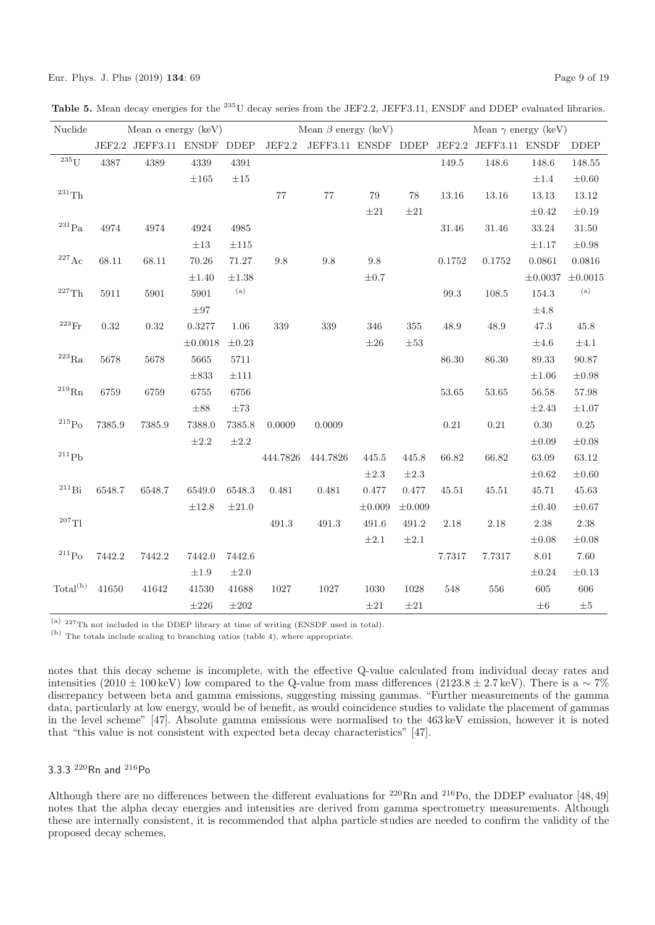|  |  | Table 5. Mean decay energies for the <sup>235</sup> U decay series from the JEF2.2, JEFF3.11, ENSDF and DDEP evaluated libraries. |  |
|--|--|-----------------------------------------------------------------------------------------------------------------------------------|--|
|--|--|-----------------------------------------------------------------------------------------------------------------------------------|--|

| Nuclide              |        | Mean $\alpha$ energy (keV) |              |                            |          | Mean $\beta$ energy (keV) |             |             | Mean $\gamma$ energy (keV) |                                                  |              |              |
|----------------------|--------|----------------------------|--------------|----------------------------|----------|---------------------------|-------------|-------------|----------------------------|--------------------------------------------------|--------------|--------------|
|                      |        | JEF2.2 JEFF3.11 ENSDF DDEP |              |                            |          |                           |             |             |                            | JEF2.2 JEFF3.11 ENSDF DDEP JEF2.2 JEFF3.11 ENSDF |              | <b>DDEP</b>  |
| $235$ U              | 4387   | 4389                       | $\!339$      | 4391                       |          |                           |             |             | 149.5                      | 148.6                                            | 148.6        | 148.55       |
|                      |        |                            | $\pm 165$    | $\pm 15$                   |          |                           |             |             |                            |                                                  | $\pm 1.4$    | $\pm 0.60$   |
| $^{231}\mathrm{Th}$  |        |                            |              |                            | 77       | 77                        | 79          | 78          | 13.16                      | $13.16\,$                                        | 13.13        | 13.12        |
|                      |        |                            |              |                            |          |                           | $\pm 21$    | $\pm 21$    |                            |                                                  | $\pm 0.42$   | $\pm 0.19$   |
| $\rm ^{231}Pa$       | 4974   | 4974                       | 4924         | 4985                       |          |                           |             |             | 31.46                      | $31.46\,$                                        | $33.24\,$    | 31.50        |
|                      |        |                            | $\pm 13$     | $\pm 115$                  |          |                           |             |             |                            |                                                  | $\pm 1.17$   | $\pm 0.98$   |
| $^{227}\mathrm{Ac}$  | 68.11  | 68.11                      | 70.26        | 71.27                      | 9.8      | 9.8                       | 9.8         |             | 0.1752                     | 0.1752                                           | 0.0861       | 0.0816       |
|                      |        |                            | $\pm 1.40$   | $\pm 1.38$                 |          |                           | $\pm 0.7$   |             |                            |                                                  | $\pm 0.0037$ | $\pm 0.0015$ |
| $^{227}\mathrm{Th}$  | 5911   | 5901                       | 5901         | $\left( \mathrm{a}\right)$ |          |                           |             |             | 99.3                       | 108.5                                            | 154.3        | (a)          |
|                      |        |                            | $\pm 97$     |                            |          |                           |             |             |                            |                                                  | $\pm 4.8$    |              |
| $^{223}\mathrm{Fr}$  | 0.32   | $0.32\,$                   | 0.3277       | 1.06                       | 339      | 339                       | 346         | 355         | 48.9                       | 48.9                                             | 47.3         | 45.8         |
|                      |        |                            | $\pm 0.0018$ | $\pm 0.23$                 |          |                           | $\pm 26$    | $\pm 53$    |                            |                                                  | $\pm 4.6$    | $\pm 4.1$    |
| $^{223}\mathrm{Ra}$  | 5678   | 5678                       | 5665         | 5711                       |          |                           |             |             | 86.30                      | 86.30                                            | 89.33        | 90.87        |
|                      |        |                            | $\pm 833$    | $\pm 111$                  |          |                           |             |             |                            |                                                  | $\pm 1.06$   | $\pm 0.98$   |
| $^{219}\mathrm{Rn}$  | 6759   | 6759                       | 6755         | 6756                       |          |                           |             |             | 53.65                      | 53.65                                            | 56.58        | 57.98        |
|                      |        |                            | $\pm 88$     | $\pm 73$                   |          |                           |             |             |                            |                                                  | $\pm 2.43$   | $\pm 1.07$   |
| $^{215}\mathrm{Po}$  | 7385.9 | 7385.9                     | 7388.0       | 7385.8                     | 0.0009   | 0.0009                    |             |             | $\rm 0.21$                 | $0.21\,$                                         | $0.30\,$     | 0.25         |
|                      |        |                            | $\pm 2.2$    | $\pm 2.2$                  |          |                           |             |             |                            |                                                  | $\pm 0.09$   | $\pm 0.08$   |
| $^{211}{\rm Pb}$     |        |                            |              |                            | 444.7826 | 444.7826                  | 445.5       | 445.8       | 66.82                      | 66.82                                            | 63.09        | 63.12        |
|                      |        |                            |              |                            |          |                           | $\pm 2.3$   | $\pm 2.3$   |                            |                                                  | $\pm 0.62$   | $\pm 0.60$   |
| $^{211}Bi$           | 6548.7 | 6548.7                     | 6549.0       | 6548.3                     | 0.481    | 0.481                     | 0.477       | $0.477\,$   | 45.51                      | 45.51                                            | 45.71        | 45.63        |
|                      |        |                            | $\pm 12.8$   | $\pm 21.0$                 |          |                           | $\pm 0.009$ | $\pm 0.009$ |                            |                                                  | $\pm 0.40$   | $\pm 0.67$   |
| $^{207}\mathrm{TI}$  |        |                            |              |                            | 491.3    | 491.3                     | 491.6       | 491.2       | 2.18                       | 2.18                                             | 2.38         | 2.38         |
|                      |        |                            |              |                            |          |                           | $\pm 2.1$   | $\pm 2.1$   |                            |                                                  | $\pm 0.08$   | $\pm 0.08$   |
| $^{211}\mathrm{Po}$  | 7442.2 | 7442.2                     | 7442.0       | 7442.6                     |          |                           |             |             | 7.7317                     | 7.7317                                           | 8.01         | 7.60         |
|                      |        |                            | $\pm 1.9$    | $\pm 2.0$                  |          |                           |             |             |                            |                                                  | $\pm 0.24$   | $\pm 0.13$   |
| Total <sup>(b)</sup> | 41650  | 41642                      | 41530        | 41688                      | $1027\,$ | 1027                      | 1030        | 1028        | 548                        | 556                                              | 605          | 606          |
|                      |        |                            | $\pm 226$    | $\pm 202$                  |          |                           | $\pm 21$    | $\pm 21$    |                            |                                                  | $\pm 6$      | $\pm 5$      |

(a) <sup>227</sup>Th not included in the DDEP library at time of writing (ENSDF used in total).

(b) The totals include scaling to branching ratios (table 4), where appropriate.

notes that this decay scheme is incomplete, with the effective Q-value calculated from individual decay rates and intensities (2010 ± 100 keV) low compared to the Q-value from mass differences (2123.8 ± 2.7keV). There is a  $\sim 7\%$ discrepancy between beta and gamma emissions, suggesting missing gammas. "Further measurements of the gamma data, particularly at low energy, would be of benefit, as would coincidence studies to validate the placement of gammas in the level scheme" [47]. Absolute gamma emissions were normalised to the 463keV emission, however it is noted that "this value is not consistent with expected beta decay characteristics" [47].

# 3.3.3 <sup>220</sup>Rn and <sup>216</sup>Po

Although there are no differences between the different evaluations for <sup>220</sup>Rn and <sup>216</sup>Po, the DDEP evaluator [48,49] notes that the alpha decay energies and intensities are derived from gamma spectrometry measurements. Although these are internally consistent, it is recommended that alpha particle studies are needed to confirm the validity of the proposed decay schemes.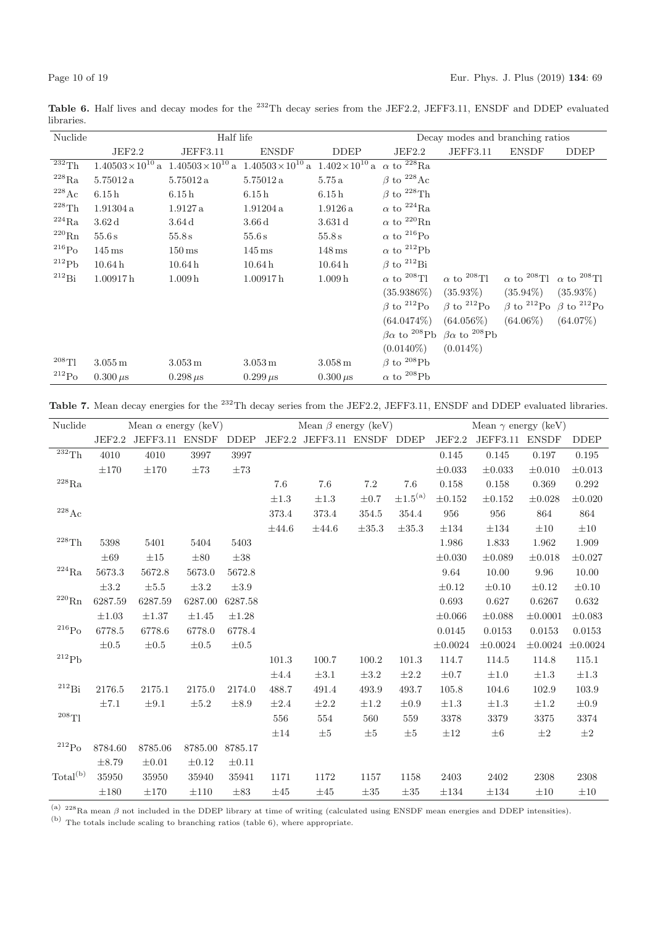Table 6. Half lives and decay modes for the <sup>232</sup>Th decay series from the JEF2.2, JEFF3.11, ENSDF and DDEP evaluated libraries.

| Nuclide                |                            | Half life                                                                                              |                      | Decay modes and branching ratios |                               |                                                                         |                                                             |                                                           |
|------------------------|----------------------------|--------------------------------------------------------------------------------------------------------|----------------------|----------------------------------|-------------------------------|-------------------------------------------------------------------------|-------------------------------------------------------------|-----------------------------------------------------------|
|                        | JEF2.2                     | JEFF3.11                                                                                               | <b>ENSDF</b>         | <b>DDEP</b>                      | JEF2.2                        | <b>JEFF3.11</b>                                                         | <b>ENSDF</b>                                                | <b>DDEP</b>                                               |
| $\overline{^{232}}$ Th | $1.40503 \times 10^{10}$ a | $1.40503 \times 10^{10}$ a $1.40503 \times 10^{10}$ a $1.402 \times 10^{10}$ a $\alpha$ to $^{228}$ Ra |                      |                                  |                               |                                                                         |                                                             |                                                           |
| $^{228}\text{Ra}$      | 5.75012 a                  | 5.75012a                                                                                               | 5.75012a             | 5.75a                            | $\beta$ to <sup>228</sup> Ac  |                                                                         |                                                             |                                                           |
| $^{228}\text{Ac}$      | 6.15h                      | 6.15h                                                                                                  | 6.15h                | 6.15h                            | $\beta$ to $^{228}$ Th        |                                                                         |                                                             |                                                           |
| $^{228}\mathrm{Th}$    | 1.91304a                   | 1.9127a                                                                                                | 1.91204a             | 1.9126a                          | $\alpha$ to $^{224}$ Ra       |                                                                         |                                                             |                                                           |
| $^{224}Ra$             | 3.62d                      | 3.64d                                                                                                  | $3.66\,\mathrm{d}$   | 3.631d                           | $\alpha$ to $^{220}$ Rn       |                                                                         |                                                             |                                                           |
| $^{220}\mathrm{Rn}$    | 55.6s                      | 55.8 s                                                                                                 | 55.6s                | 55.8s                            | $\alpha$ to <sup>216</sup> Po |                                                                         |                                                             |                                                           |
| $^{216}\mathrm{Po}$    | $145 \,\mathrm{ms}$        | $150 \,\mathrm{ms}$                                                                                    | $145 \,\mathrm{ms}$  | $148 \,\mathrm{ms}$              | $\alpha$ to <sup>212</sup> Pb |                                                                         |                                                             |                                                           |
| $^{212}Pb$             | 10.64h                     | 10.64h                                                                                                 | 10.64h               | 10.64h                           | $\beta$ to <sup>212</sup> Bi  |                                                                         |                                                             |                                                           |
| $^{212}\mathrm{Bi}$    | 1.00917h                   | 1.009 <sub>h</sub>                                                                                     | 1.00917h             | 1.009h                           | $\alpha$ to <sup>208</sup> Tl | $\alpha$ to <sup>208</sup> Tl                                           | $\alpha$ to <sup>208</sup> Tl $\alpha$ to <sup>208</sup> Tl |                                                           |
|                        |                            |                                                                                                        |                      |                                  | $(35.9386\%)$                 | $(35.93\%)$                                                             | $(35.94\%)$                                                 | $(35.93\%)$                                               |
|                        |                            |                                                                                                        |                      |                                  | $\beta$ to $^{212}$ Po        | $\beta$ to $^{212}$ Po                                                  |                                                             | $\beta$ to <sup>212</sup> Po $\beta$ to <sup>212</sup> Po |
|                        |                            |                                                                                                        |                      |                                  | $(64.0474\%)$                 | $(64.056\%)$                                                            | $(64.06\%)$                                                 | $(64.07\%)$                                               |
|                        |                            |                                                                                                        |                      |                                  |                               | $\beta \alpha$ to <sup>208</sup> Pb $\beta \alpha$ to <sup>208</sup> Pb |                                                             |                                                           |
|                        |                            |                                                                                                        |                      |                                  | $(0.0140\%)$                  | $(0.014\%)$                                                             |                                                             |                                                           |
| $208$ Tl               | $3.055\,\mathrm{m}$        | $3.053\,\mathrm{m}$                                                                                    | $3.053 \,\mathrm{m}$ | $3.058\,\mathrm{m}$              | $\beta$ to <sup>208</sup> Pb  |                                                                         |                                                             |                                                           |
| $^{212}Po$             | $0.300 \mu s$              | $0.298 \,\mu s$                                                                                        | $0.299 \,\mu s$      | $0.300 \mu s$                    | $\alpha$ to $^{208}{\rm Pb}$  |                                                                         |                                                             |                                                           |

**Table 7.** Mean decay energies for the <sup>232</sup>Th decay series from the JEF2.2, JEFF3.11, ENSDF and DDEP evaluated libraries.

| Nuclide                      |            | Mean $\alpha$ energy (keV) |            |             |            | Mean $\beta$ energy (keV)  |            |                 |              | Mean $\gamma$ energy (keV) |              |              |
|------------------------------|------------|----------------------------|------------|-------------|------------|----------------------------|------------|-----------------|--------------|----------------------------|--------------|--------------|
|                              | JEF2.2     | JEFF3.11 ENSDF             |            | <b>DDEP</b> |            | JEF2.2 JEFF3.11 ENSDF DDEP |            |                 | JEF2.2       | JEFF3.11 ENSDF             |              | <b>DDEP</b>  |
| $\overline{^{232}}\text{Th}$ | 4010       | 4010                       | 3997       | 3997        |            |                            |            |                 | 0.145        | 0.145                      | 0.197        | 0.195        |
|                              | $\pm 170$  | $\pm 170$                  | $\pm 73$   | $\pm 73$    |            |                            |            |                 | $\pm 0.033$  | $\pm 0.033$                | $\pm 0.010$  | $\pm 0.013$  |
| $^{228}\mathrm{Ra}$          |            |                            |            |             | 7.6        | 7.6                        | $7.2\,$    | 7.6             | 0.158        | 0.158                      | 0.369        | 0.292        |
|                              |            |                            |            |             | $\pm 1.3$  | $\pm 1.3$                  | $\pm 0.7$  | $\pm 1.5^{(a)}$ | $\pm 0.152$  | $\pm 0.152$                | $\pm 0.028$  | $\pm 0.020$  |
| $^{228}\mathrm{Ac}$          |            |                            |            |             | 373.4      | 373.4                      | 354.5      | 354.4           | 956          | 956                        | 864          | 864          |
|                              |            |                            |            |             | $\pm 44.6$ | $\pm 44.6$                 | $\pm 35.3$ | $\pm 35.3$      | $\pm 134$    | $\pm 134$                  | $\pm 10$     | $\pm 10$     |
| $^{228}\mathrm{Th}$          | 5398       | 5401                       | 5404       | 5403        |            |                            |            |                 | 1.986        | 1.833                      | 1.962        | 1.909        |
|                              | $\pm 69$   | $\pm 15$                   | $\pm 80$   | $\pm 38$    |            |                            |            |                 | $\pm 0.030$  | $\pm 0.089$                | $\pm 0.018$  | $\pm 0.027$  |
| $^{224}\mathrm{Ra}$          | 5673.3     | 5672.8                     | 5673.0     | 5672.8      |            |                            |            |                 | 9.64         | 10.00                      | 9.96         | 10.00        |
|                              | $\pm 3.2$  | $\pm 5.5$                  | $\pm 3.2$  | $\pm 3.9$   |            |                            |            |                 | $\pm 0.12$   | $\pm 0.10$                 | $\pm 0.12$   | $\pm 0.10$   |
| $^{220}\mathrm{Rn}$          | 6287.59    | 6287.59                    | 6287.00    | 6287.58     |            |                            |            |                 | 0.693        | 0.627                      | 0.6267       | 0.632        |
|                              | $\pm 1.03$ | $\pm 1.37$                 | $\pm 1.45$ | $\pm 1.28$  |            |                            |            |                 | $\pm 0.066$  | $\pm 0.088$                | $\pm 0.0001$ | $\pm 0.083$  |
| $\rm ^{216}Po$               | 6778.5     | 6778.6                     | 6778.0     | 6778.4      |            |                            |            |                 | 0.0145       | 0.0153                     | 0.0153       | 0.0153       |
|                              | $\pm 0.5$  | $\pm 0.5$                  | $\pm 0.5$  | $\pm 0.5$   |            |                            |            |                 | $\pm 0.0024$ | $\pm 0.0024$               | $\pm 0.0024$ | $\pm 0.0024$ |
| $^{212}Pb$                   |            |                            |            |             | 101.3      | 100.7                      | 100.2      | 101.3           | 114.7        | 114.5                      | 114.8        | 115.1        |
|                              |            |                            |            |             | $\pm 4.4$  | $\pm 3.1$                  | $\pm 3.2$  | $\pm 2.2$       | $\pm 0.7$    | $\pm 1.0$                  | $\pm 1.3$    | $\pm 1.3$    |
| $\rm ^{212}Bi$               | 2176.5     | 2175.1                     | $2175.0\,$ | 2174.0      | 488.7      | 491.4                      | 493.9      | 493.7           | 105.8        | 104.6                      | 102.9        | 103.9        |
|                              | $\pm 7.1$  | $\pm 9.1$                  | $\pm 5.2$  | $\pm 8.9$   | $\pm 2.4$  | $\pm 2.2$                  | $\pm 1.2$  | $\pm 0.9$       | $\pm 1.3$    | $\pm 1.3$                  | $\pm 1.2$    | $\pm 0.9$    |
| $^{208}\mathrm{TI}$          |            |                            |            |             | 556        | 554                        | 560        | 559             | 3378         | 3379                       | 3375         | 3374         |
|                              |            |                            |            |             | $\pm 14$   | $\pm 5$                    | $\pm 5$    | $\pm 5$         | $\pm 12$     | $\pm 6$                    | $\pm 2$      | $\pm 2$      |
| $^{212}Po$                   | 8784.60    | 8785.06                    | 8785.00    | 8785.17     |            |                            |            |                 |              |                            |              |              |
|                              | $\pm 8.79$ | $\pm 0.01$                 | $\pm 0.12$ | $\pm 0.11$  |            |                            |            |                 |              |                            |              |              |
| Total <sup>(b)</sup>         | 35950      | 35950                      | 35940      | 35941       | 1171       | 1172                       | 1157       | 1158            | 2403         | 2402                       | 2308         | 2308         |
|                              | $\pm 180$  | $\pm 170$                  | $\pm 110$  | $\pm 83$    | $\pm 45$   | $\pm 45$                   | $\pm 35$   | $\pm 35$        | $\pm 134$    | $\pm 134$                  | $\pm 10$     | $\pm 10$     |

(a)  $228$ Ra mean  $\beta$  not included in the DDEP library at time of writing (calculated using ENSDF mean energies and DDEP intensities).

(b) The totals include scaling to branching ratios (table 6), where appropriate.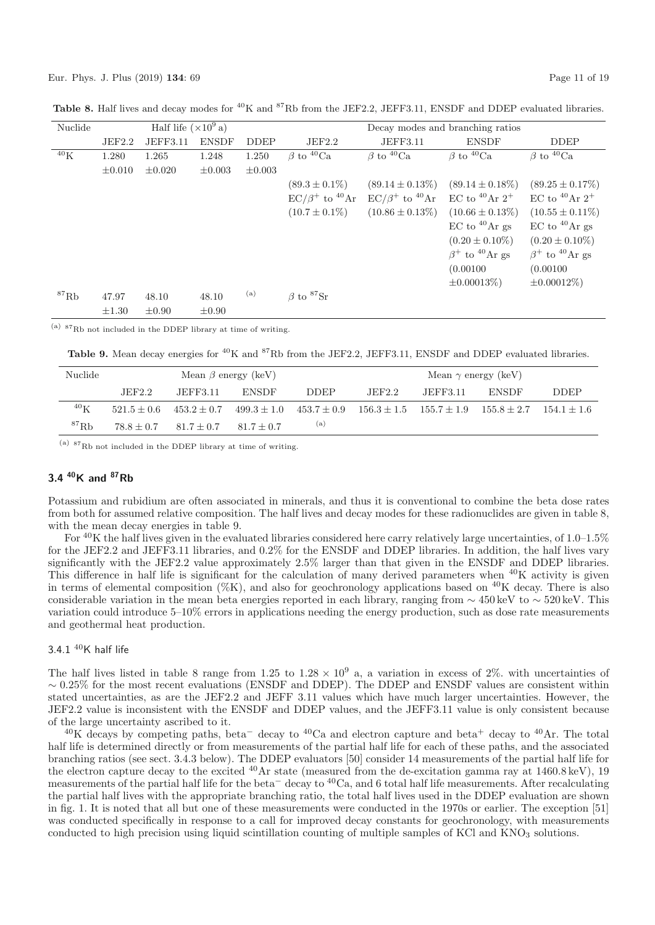| Nuclide      |             | Half life $(\times 10^9 a)$ |              |             |                               |                                  | Decay modes and branching ratios |                                  |
|--------------|-------------|-----------------------------|--------------|-------------|-------------------------------|----------------------------------|----------------------------------|----------------------------------|
|              | JEF2.2      | JEFF3.11                    | <b>ENSDF</b> | <b>DDEP</b> | JEF2.2                        | <b>JEFF3.11</b>                  | <b>ENSDF</b>                     | <b>DDEP</b>                      |
| $40\text{K}$ | 1.280       | 1.265                       | 1.248        | 1.250       | $\beta$ to <sup>40</sup> Ca   | $\beta$ to <sup>40</sup> Ca      | $\beta$ to <sup>40</sup> Ca      | $\beta$ to <sup>40</sup> Ca      |
|              | $\pm 0.010$ | $\pm 0.020$                 | $\pm 0.003$  | $\pm 0.003$ |                               |                                  |                                  |                                  |
|              |             |                             |              |             | $(89.3 \pm 0.1\%)$            | $(89.14 \pm 0.13\%)$             | $(89.14 \pm 0.18\%)$             | $(89.25 \pm 0.17\%)$             |
|              |             |                             |              |             | $EC/\beta^+$ to $^{40}Ar$     | $EC/\beta^+$ to <sup>40</sup> Ar | EC to <sup>40</sup> Ar $2^+$     | EC to <sup>40</sup> Ar $2^+$     |
|              |             |                             |              |             | $(10.7 \pm 0.1\%)$            | $(10.86 \pm 0.13\%)$             | $(10.66 \pm 0.13\%)$             | $(10.55 \pm 0.11\%)$             |
|              |             |                             |              |             |                               |                                  | $EC$ to $^{40}Ar$ gs             | $EC$ to $^{40}Ar$ gs             |
|              |             |                             |              |             |                               |                                  | $(0.20 \pm 0.10\%)$              | $(0.20 \pm 0.10\%)$              |
|              |             |                             |              |             |                               |                                  | $\beta^+$ to <sup>40</sup> Ar gs | $\beta^+$ to <sup>40</sup> Ar gs |
|              |             |                             |              |             |                               |                                  | (0.00100)                        | (0.00100)                        |
|              |             |                             |              |             |                               |                                  | $\pm 0.00013\%$                  | $\pm 0.00012\%$                  |
| ${}^{87}$ Rb | 47.97       | 48.10                       | 48.10        | (a)         | $\beta$ to ${}^{87}\text{Sr}$ |                                  |                                  |                                  |
|              | $\pm 1.30$  | $\pm 0.90$                  | $\pm 0.90$   |             |                               |                                  |                                  |                                  |

**Table 8.** Half lives and decay modes for <sup>40</sup>K and <sup>87</sup>Rb from the JEF2.2, JEFF3.11, ENSDF and DDEP evaluated libraries.

(a) <sup>87</sup>Rb not included in the DDEP library at time of writing.

**Table 9.** Mean decay energies for <sup>40</sup>K and <sup>87</sup>Rb from the JEF2.2, JEFF3.11, ENSDF and DDEP evaluated libraries.

| Nuclide      |        |                           | Mean $\beta$ energy (keV)                                                                       |             | Mean $\gamma$ energy (keV) |          |                             |             |  |
|--------------|--------|---------------------------|-------------------------------------------------------------------------------------------------|-------------|----------------------------|----------|-----------------------------|-------------|--|
|              | JEF2.2 | JEFF3.11                  | ENSDF                                                                                           | <b>DDEP</b> | JEF2.2                     | JEFF3.11 | ENSDF                       | <b>DDEP</b> |  |
| $^{40}$ K    |        |                           | $521.5 \pm 0.6$ $453.2 \pm 0.7$ $499.3 \pm 1.0$ $453.7 \pm 0.9$ $156.3 \pm 1.5$ $155.7 \pm 1.9$ |             |                            |          | $155.8 + 2.7$ $154.1 + 1.6$ |             |  |
| ${}^{87}$ Rb |        | $78.8 + 0.7$ $81.7 + 0.7$ | $81.7 + 0.7$                                                                                    | (a)         |                            |          |                             |             |  |

(a) <sup>87</sup>Rb not included in the DDEP library at time of writing.

# **3.4 40K and 87Rb**

Potassium and rubidium are often associated in minerals, and thus it is conventional to combine the beta dose rates from both for assumed relative composition. The half lives and decay modes for these radionuclides are given in table 8, with the mean decay energies in table 9.

For  $40K$  the half lives given in the evaluated libraries considered here carry relatively large uncertainties, of 1.0–1.5% for the JEF2.2 and JEFF3.11 libraries, and 0.2% for the ENSDF and DDEP libraries. In addition, the half lives vary significantly with the JEF2.2 value approximately 2.5% larger than that given in the ENSDF and DDEP libraries. This difference in half life is significant for the calculation of many derived parameters when  ${}^{40}$ K activity is given in terms of elemental composition  $(\%K)$ , and also for geochronology applications based on <sup>40</sup>K decay. There is also considerable variation in the mean beta energies reported in each library, ranging from  $\sim$  450 keV to  $\sim$  520 keV. This variation could introduce 5–10% errors in applications needing the energy production, such as dose rate measurements and geothermal heat production.

# 3.4.1 $40K$  half life

The half lives listed in table 8 range from 1.25 to  $1.28 \times 10^9$  a, a variation in excess of 2%. with uncertainties of  $\sim 0.25\%$  for the most recent evaluations (ENSDF and DDEP). The DDEP and ENSDF values are consistent within stated uncertainties, as are the JEF2.2 and JEFF 3.11 values which have much larger uncertainties. However, the JEF2.2 value is inconsistent with the ENSDF and DDEP values, and the JEFF3.11 value is only consistent because of the large uncertainty ascribed to it.

 $^{40}$ K decays by competing paths, beta<sup>-</sup> decay to  $^{40}$ Ca and electron capture and beta<sup>+</sup> decay to  $^{40}$ Ar. The total half life is determined directly or from measurements of the partial half life for each of these paths, and the associated branching ratios (see sect. 3.4.3 below). The DDEP evaluators [50] consider 14 measurements of the partial half life for the electron capture decay to the excited  $^{40}$ Ar state (measured from the de-excitation gamma ray at  $1460.8 \,\text{keV}$ ), 19 measurements of the partial half life for the beta<sup>−</sup> decay to <sup>40</sup>Ca, and 6 total half life measurements. After recalculating the partial half lives with the appropriate branching ratio, the total half lives used in the DDEP evaluation are shown in fig. 1. It is noted that all but one of these measurements were conducted in the 1970s or earlier. The exception [51] was conducted specifically in response to a call for improved decay constants for geochronology, with measurements conducted to high precision using liquid scintillation counting of multiple samples of KCl and  $KNO_3$  solutions.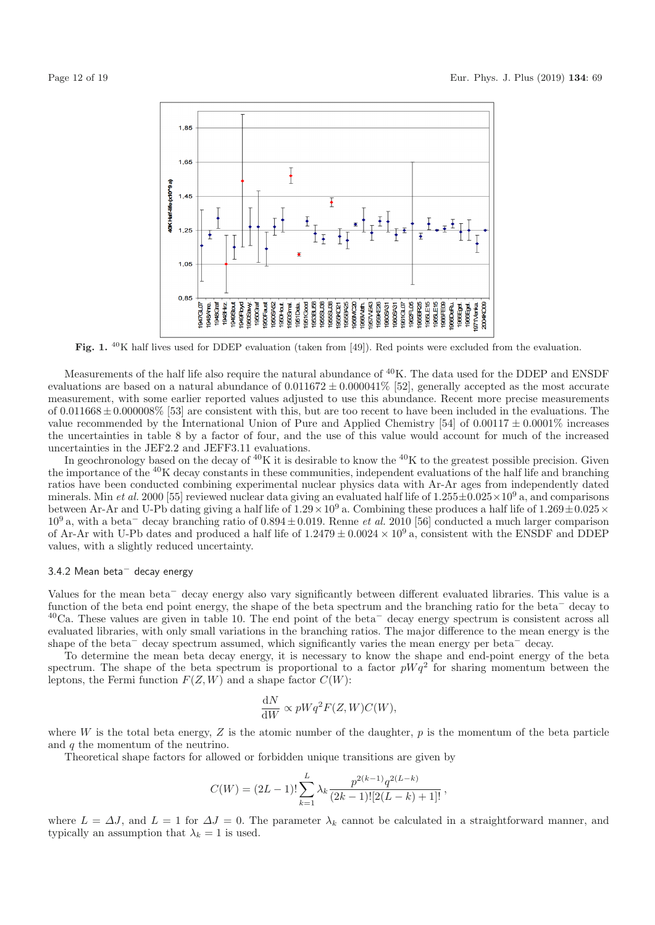

Fig. 1. <sup>40</sup>K half lives used for DDEP evaluation (taken from [49]). Red points were excluded from the evaluation.

Measurements of the half life also require the natural abundance of <sup>40</sup>K. The data used for the DDEP and ENSDF evaluations are based on a natural abundance of  $0.011672 \pm 0.000041\%$  [52], generally accepted as the most accurate measurement, with some earlier reported values adjusted to use this abundance. Recent more precise measurements of  $0.011668 \pm 0.000008\%$  [53] are consistent with this, but are too recent to have been included in the evaluations. The value recommended by the International Union of Pure and Applied Chemistry [54] of  $0.00117 \pm 0.0001\%$  increases the uncertainties in table 8 by a factor of four, and the use of this value would account for much of the increased uncertainties in the JEF2.2 and JEFF3.11 evaluations.

In geochronology based on the decay of  ${}^{40}K$  it is desirable to know the  ${}^{40}K$  to the greatest possible precision. Given the importance of the <sup>40</sup>K decay constants in these communities, independent evaluations of the half life and branching ratios have been conducted combining experimental nuclear physics data with Ar-Ar ages from independently dated minerals. Min et al. 2000 [55] reviewed nuclear data giving an evaluated half life of  $1.255\pm0.025\times10^9$  a, and comparisons between Ar-Ar and U-Pb dating giving a half life of  $1.29 \times 10^9$  a. Combining these produces a half life of  $1.269 \pm 0.025 \times$  $10<sup>9</sup>$  a, with a beta<sup>-</sup> decay branching ratio of 0.894 ± 0.019. Renne *et al.* 2010 [56] conducted a much larger comparison of Ar-Ar with U-Pb dates and produced a half life of  $1.2479 \pm 0.0024 \times 10^9$  a, consistent with the ENSDF and DDEP values, with a slightly reduced uncertainty.

#### 3.4.2 Mean beta<sup>−</sup> decay energy

Values for the mean beta<sup>−</sup> decay energy also vary significantly between different evaluated libraries. This value is a function of the beta end point energy, the shape of the beta spectrum and the branching ratio for the beta<sup>−</sup> decay to <sup>40</sup>Ca. These values are given in table 10. The end point of the beta<sup>−</sup> decay energy spectrum is consistent across all evaluated libraries, with only small variations in the branching ratios. The major difference to the mean energy is the shape of the beta<sup>−</sup> decay spectrum assumed, which significantly varies the mean energy per beta<sup>−</sup> decay.

To determine the mean beta decay energy, it is necessary to know the shape and end-point energy of the beta spectrum. The shape of the beta spectrum is proportional to a factor  $pWq^2$  for sharing momentum between the leptons, the Fermi function  $F(Z, W)$  and a shape factor  $C(W)$ :

$$
\frac{\mathrm{d}N}{\mathrm{d}W} \propto pWq^2F(Z,W)C(W),
$$

where W is the total beta energy, Z is the atomic number of the daughter,  $p$  is the momentum of the beta particle and q the momentum of the neutrino.

Theoretical shape factors for allowed or forbidden unique transitions are given by

$$
C(W) = (2L - 1)! \sum_{k=1}^{L} \lambda_k \frac{p^{2(k-1)} q^{2(L-k)}}{(2k-1)![2(L-k)+1]!},
$$

where  $L = \Delta J$ , and  $L = 1$  for  $\Delta J = 0$ . The parameter  $\lambda_k$  cannot be calculated in a straightforward manner, and typically an assumption that  $\lambda_k = 1$  is used.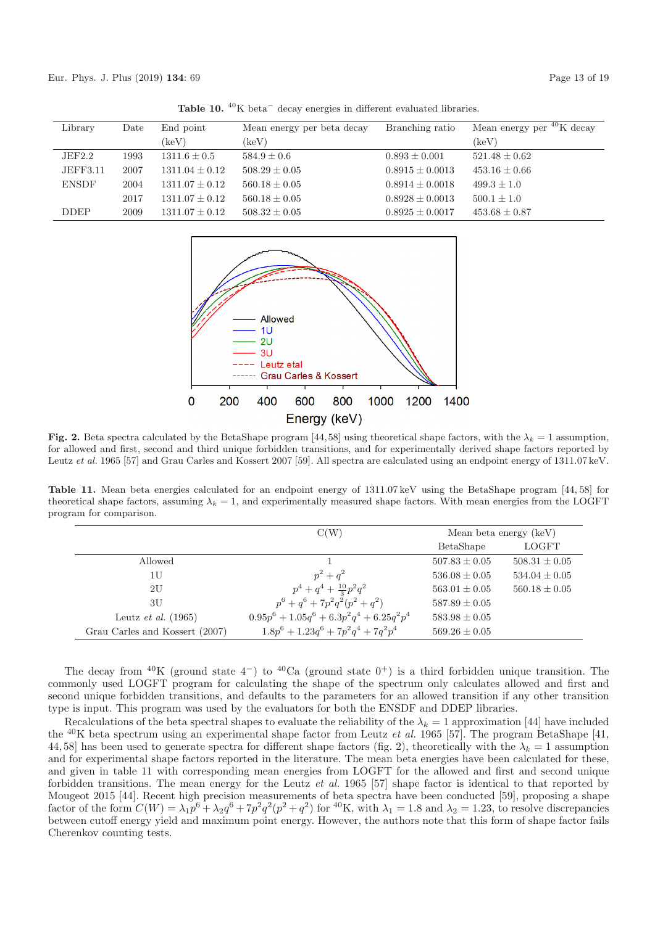|              |      |                    | $\cdots$                   |                     |                                 |
|--------------|------|--------------------|----------------------------|---------------------|---------------------------------|
| Library      | Date | End point          | Mean energy per beta decay | Branching ratio     | Mean energy per $^{40}$ K decay |
|              |      | $(\text{keV})$     | $(\text{keV})$             |                     | (keV)                           |
| JEF2.2       | 1993 | $1311.6 \pm 0.5$   | $584.9 \pm 0.6$            | $0.893 \pm 0.001$   | $521.48 \pm 0.62$               |
| JEFF3.11     | 2007 | $1311.04 \pm 0.12$ | $508.29 \pm 0.05$          | $0.8915 \pm 0.0013$ | $453.16 \pm 0.66$               |
| <b>ENSDF</b> | 2004 | $1311.07 \pm 0.12$ | $560.18 \pm 0.05$          | $0.8914 \pm 0.0018$ | $499.3 \pm 1.0$                 |
|              | 2017 | $1311.07 \pm 0.12$ | $560.18 \pm 0.05$          | $0.8928 \pm 0.0013$ | $500.1 \pm 1.0$                 |
| <b>DDEP</b>  | 2009 | $1311.07 \pm 0.12$ | $508.32 \pm 0.05$          | $0.8925 \pm 0.0017$ | $453.68 \pm 0.87$               |



**Fig. 2.** Beta spectra calculated by the BetaShape program [44,58] using theoretical shape factors, with the  $\lambda_k = 1$  assumption, for allowed and first, second and third unique forbidden transitions, and for experimentally derived shape factors reported by Leutz et al. 1965 [57] and Grau Carles and Kossert 2007 [59]. All spectra are calculated using an endpoint energy of 1311.07 keV.

**Table 11.** Mean beta energies calculated for an endpoint energy of 1311.07 keV using the BetaShape program [44, 58] for theoretical shape factors, assuming  $\lambda_k = 1$ , and experimentally measured shape factors. With mean energies from the LOGFT program for comparison.

|                                | C(W)                                                     | Mean beta energy (keV) |                   |
|--------------------------------|----------------------------------------------------------|------------------------|-------------------|
|                                |                                                          | BetaShape              | LOGFT             |
| Allowed                        |                                                          | $507.83 \pm 0.05$      | $508.31 \pm 0.05$ |
| 1U                             | $p^2 + q^2$                                              | $536.08 \pm 0.05$      | $534.04 \pm 0.05$ |
| 2U                             | $p^4+q^4+\frac{10}{3}p^2q^2$                             | $563.01 \pm 0.05$      | $560.18 \pm 0.05$ |
| 3U                             | $p^6 + q^6 + 7p^2q^2(p^2 + q^2)$                         | $587.89 \pm 0.05$      |                   |
| Leutz <i>et al.</i> $(1965)$   | $0.95p^{6} + 1.05q^{6} + 6.3p^{2}q^{4} + 6.25q^{2}p^{4}$ | $583.98 \pm 0.05$      |                   |
| Grau Carles and Kossert (2007) | $1.8p^6 + 1.23q^6 + 7p^2q^4 + 7q^2p^4$                   | $569.26 \pm 0.05$      |                   |

The decay from <sup>40</sup>K (ground state 4<sup>-</sup>) to <sup>40</sup>Ca (ground state 0<sup>+</sup>) is a third forbidden unique transition. The commonly used LOGFT program for calculating the shape of the spectrum only calculates allowed and first and second unique forbidden transitions, and defaults to the parameters for an allowed transition if any other transition type is input. This program was used by the evaluators for both the ENSDF and DDEP libraries.

Recalculations of the beta spectral shapes to evaluate the reliability of the  $\lambda_k = 1$  approximation [44] have included the  $^{40}$ K beta spectrum using an experimental shape factor from Leutz *et al.* 1965 [57]. The program BetaShape [41, 44,58] has been used to generate spectra for different shape factors (fig. 2), theoretically with the  $\lambda_k = 1$  assumption and for experimental shape factors reported in the literature. The mean beta energies have been calculated for these, and given in table 11 with corresponding mean energies from LOGFT for the allowed and first and second unique forbidden transitions. The mean energy for the Leutz et al. 1965 [57] shape factor is identical to that reported by Mougeot 2015 [44]. Recent high precision measurements of beta spectra have been conducted [59], proposing a shape factor of the form  $C(W) = \lambda_1 p^6 + \lambda_2 q^6 + 7p^2q^2(p^2 + q^2)$  for <sup>40</sup>K, with  $\lambda_1 = 1.8$  and  $\lambda_2 = 1.23$ , to resolve discrepancies between cutoff energy yield and maximum point energy. However, the authors note that this form of shape factor fails Cherenkov counting tests.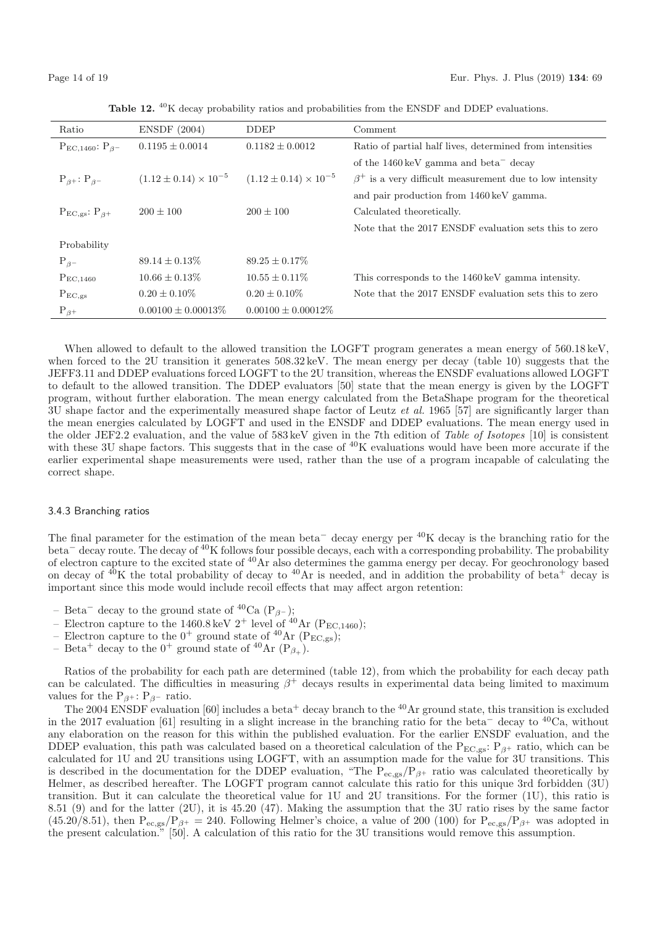| Ratio                       | <b>ENSDF</b> (2004)              | <b>DDEP</b>                      | Comment                                                        |
|-----------------------------|----------------------------------|----------------------------------|----------------------------------------------------------------|
| $P_{EC,1460}$ : $P_{\beta}$ | $0.1195 + 0.0014$                | $0.1182 + 0.0012$                | Ratio of partial half lives, determined from intensities       |
|                             |                                  |                                  | of the $1460 \,\text{keV}$ gamma and beta <sup>-</sup> decay   |
| $P_{\beta}$ : $P_{\beta}$   | $(1.12 \pm 0.14) \times 10^{-5}$ | $(1.12 \pm 0.14) \times 10^{-5}$ | $\beta^+$ is a very difficult measurement due to low intensity |
|                             |                                  |                                  | and pair production from 1460 keV gamma.                       |
| $P_{EC,gs}: P_{\beta^+}$    | $200 + 100$                      | $200 \pm 100$                    | Calculated theoretically.                                      |
|                             |                                  |                                  | Note that the 2017 ENSDF evaluation sets this to zero          |
| Probability                 |                                  |                                  |                                                                |
| $P_{\beta}$                 | $89.14 \pm 0.13\%$               | $89.25 \pm 0.17\%$               |                                                                |
| $P_{EC,1460}$               | $10.66 \pm 0.13\%$               | $10.55 \pm 0.11\%$               | This corresponds to the 1460 keV gamma intensity.              |
| $P_{EC,gs}$                 | $0.20 \pm 0.10\%$                | $0.20 \pm 0.10\%$                | Note that the 2017 ENSDF evaluation sets this to zero          |
| $P_{\beta+}$                | $0.00100 \pm 0.00013\%$          | $0.00100 \pm 0.00012\%$          |                                                                |

**Table 12.** <sup>40</sup>K decay probability ratios and probabilities from the ENSDF and DDEP evaluations.

When allowed to default to the allowed transition the LOGFT program generates a mean energy of 560.18 keV, when forced to the 2U transition it generates  $508.32 \,\text{keV}$ . The mean energy per decay (table 10) suggests that the JEFF3.11 and DDEP evaluations forced LOGFT to the 2U transition, whereas the ENSDF evaluations allowed LOGFT to default to the allowed transition. The DDEP evaluators [50] state that the mean energy is given by the LOGFT program, without further elaboration. The mean energy calculated from the BetaShape program for the theoretical 3U shape factor and the experimentally measured shape factor of Leutz et al. 1965 [57] are significantly larger than the mean energies calculated by LOGFT and used in the ENSDF and DDEP evaluations. The mean energy used in the older JEF2.2 evaluation, and the value of 583keV given in the 7th edition of Table of Isotopes [10] is consistent with these 3U shape factors. This suggests that in the case of  ${}^{40}$ K evaluations would have been more accurate if the earlier experimental shape measurements were used, rather than the use of a program incapable of calculating the correct shape.

#### 3.4.3 Branching ratios

The final parameter for the estimation of the mean beta<sup>−</sup> decay energy per <sup>40</sup>K decay is the branching ratio for the beta<sup>−</sup> decay route. The decay of <sup>40</sup>K follows four possible decays, each with a corresponding probability. The probability of electron capture to the excited state of <sup>40</sup>Ar also determines the gamma energy per decay. For geochronology based on decay of  $40K$  the total probability of decay to  $40Ar$  is needed, and in addition the probability of beta<sup>+</sup> decay is important since this mode would include recoil effects that may affect argon retention:

- Beta<sup>−</sup> decay to the ground state of <sup>40</sup>Ca (P<sub>β</sub>−);
- Electron capture to the 1460.8 keV  $2^+$  level of  $^{40}$ Ar (P<sub>EC,1460</sub>);
- Electron capture to the  $0^+$  ground state of <sup>40</sup>Ar ( $P_{EC,gs}$ );
- Beta<sup>+</sup> decay to the  $0^+$  ground state of <sup>40</sup>Ar (P<sub>β+</sub>).

Ratios of the probability for each path are determined (table 12), from which the probability for each decay path can be calculated. The difficulties in measuring  $\beta^+$  decays results in experimental data being limited to maximum values for the  $P_{\beta+}$ :  $P_{\beta-}$  ratio.

The 2004 ENSDF evaluation [60] includes a beta<sup>+</sup> decay branch to the <sup>40</sup>Ar ground state, this transition is excluded in the 2017 evaluation [61] resulting in a slight increase in the branching ratio for the beta<sup>−</sup> decay to <sup>40</sup>Ca, without any elaboration on the reason for this within the published evaluation. For the earlier ENSDF evaluation, and the DDEP evaluation, this path was calculated based on a theoretical calculation of the P<sub>EC,gs</sub>: P<sub>β+</sub> ratio, which can be calculated for 1U and 2U transitions using LOGFT, with an assumption made for the value for 3U transitions. This is described in the documentation for the DDEP evaluation, "The  $P_{ec,gs}/P_{\beta^+}$  ratio was calculated theoretically by Helmer, as described hereafter. The LOGFT program cannot calculate this ratio for this unique 3rd forbidden (3U) transition. But it can calculate the theoretical value for 1U and 2U transitions. For the former (1U), this ratio is 8.51 (9) and for the latter (2U), it is 45.20 (47). Making the assumption that the 3U ratio rises by the same factor  $(45.20/8.51)$ , then  $P_{ec,gs}/P_{\beta^+} = 240$ . Following Helmer's choice, a value of 200 (100) for  $P_{ec,gs}/P_{\beta^+}$  was adopted in the present calculation." [50]. A calculation of this ratio for the 3U transitions would remove this assumption.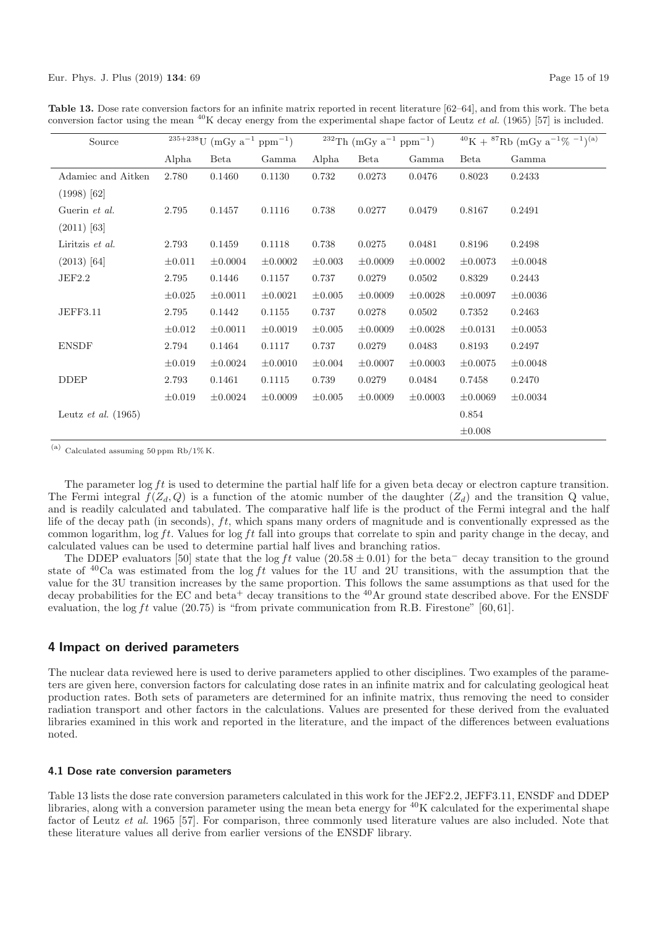| Source                       | $235+238$ U (mGy $a^{-1}$ ppm <sup>-1</sup> ) |              | <sup>232</sup> Th (mGy $a^{-1}$ ppm <sup>-1</sup> ) |             |              | $^{40}$ K + $^{87}$ Rb (mGy a <sup>-1</sup> % <sup>-1</sup> ) <sup>(a)</sup> |              |              |
|------------------------------|-----------------------------------------------|--------------|-----------------------------------------------------|-------------|--------------|------------------------------------------------------------------------------|--------------|--------------|
|                              | Alpha                                         | Beta         | Gamma                                               | Alpha       | Beta         | Gamma                                                                        | <b>Beta</b>  | Gamma        |
| Adamiec and Aitken           | 2.780                                         | 0.1460       | 0.1130                                              | 0.732       | 0.0273       | 0.0476                                                                       | 0.8023       | 0.2433       |
| $(1998)$ [62]                |                                               |              |                                                     |             |              |                                                                              |              |              |
| Guerin et al.                | 2.795                                         | 0.1457       | 0.1116                                              | 0.738       | 0.0277       | 0.0479                                                                       | 0.8167       | 0.2491       |
| $(2011)$ [63]                |                                               |              |                                                     |             |              |                                                                              |              |              |
| Liritzis et al.              | 2.793                                         | 0.1459       | 0.1118                                              | 0.738       | 0.0275       | 0.0481                                                                       | 0.8196       | 0.2498       |
| $(2013)$ [64]                | $\pm 0.011$                                   | $\pm 0.0004$ | $\pm 0.0002$                                        | $\pm 0.003$ | $\pm 0.0009$ | $\pm 0.0002$                                                                 | $\pm 0.0073$ | $\pm 0.0048$ |
| JEF2.2                       | 2.795                                         | 0.1446       | 0.1157                                              | 0.737       | 0.0279       | 0.0502                                                                       | 0.8329       | 0.2443       |
|                              | $\pm 0.025$                                   | $\pm 0.0011$ | $\pm 0.0021$                                        | $\pm 0.005$ | $\pm 0.0009$ | $\pm 0.0028$                                                                 | $\pm 0.0097$ | $\pm 0.0036$ |
| <b>JEFF3.11</b>              | 2.795                                         | 0.1442       | 0.1155                                              | 0.737       | 0.0278       | 0.0502                                                                       | 0.7352       | 0.2463       |
|                              | $\pm 0.012$                                   | $\pm 0.0011$ | $\pm 0.0019$                                        | $\pm 0.005$ | $\pm 0.0009$ | $\pm 0.0028$                                                                 | $\pm 0.0131$ | $\pm 0.0053$ |
| <b>ENSDF</b>                 | 2.794                                         | 0.1464       | 0.1117                                              | 0.737       | 0.0279       | 0.0483                                                                       | 0.8193       | 0.2497       |
|                              | $\pm 0.019$                                   | $\pm 0.0024$ | $\pm 0.0010$                                        | $\pm 0.004$ | $\pm 0.0007$ | $\pm 0.0003$                                                                 | $\pm 0.0075$ | $\pm 0.0048$ |
| <b>DDEP</b>                  | 2.793                                         | 0.1461       | 0.1115                                              | 0.739       | 0.0279       | 0.0484                                                                       | 0.7458       | 0.2470       |
|                              | $\pm 0.019$                                   | $\pm 0.0024$ | $\pm 0.0009$                                        | $\pm 0.005$ | $\pm 0.0009$ | $\pm 0.0003$                                                                 | $\pm 0.0069$ | $\pm 0.0034$ |
| Leutz <i>et al.</i> $(1965)$ |                                               |              |                                                     |             |              |                                                                              | 0.854        |              |
|                              |                                               |              |                                                     |             |              |                                                                              | $\pm 0.008$  |              |

**Table 13.** Dose rate conversion factors for an infinite matrix reported in recent literature [62–64], and from this work. The beta conversion factor using the mean <sup>40</sup>K decay energy from the experimental shape factor of Leutz *et al.* (1965) [57] is included.

 $^{(\mathrm{a})}$  Calculated assuming 50 ppm Rb/1% K.

The parameter  $\log ft$  is used to determine the partial half life for a given beta decay or electron capture transition. The Fermi integral  $f(Z_d, Q)$  is a function of the atomic number of the daughter  $(Z_d)$  and the transition Q value, and is readily calculated and tabulated. The comparative half life is the product of the Fermi integral and the half life of the decay path (in seconds), ft, which spans many orders of magnitude and is conventionally expressed as the common logarithm,  $\log ft$ . Values for  $\log ft$  fall into groups that correlate to spin and parity change in the decay, and calculated values can be used to determine partial half lives and branching ratios.

The DDEP evaluators [50] state that the log ft value (20.58  $\pm$  0.01) for the beta<sup>−</sup> decay transition to the ground state of <sup>40</sup>Ca was estimated from the log ft values for the 1U and 2U transitions, with the assumption that the value for the 3U transition increases by the same proportion. This follows the same assumptions as that used for the decay probabilities for the EC and beta<sup>+</sup> decay transitions to the <sup>40</sup>Ar ground state described above. For the ENSDF evaluation, the log ft value  $(20.75)$  is "from private communication from R.B. Firestone" [60,61].

## **4 Impact on derived parameters**

The nuclear data reviewed here is used to derive parameters applied to other disciplines. Two examples of the parameters are given here, conversion factors for calculating dose rates in an infinite matrix and for calculating geological heat production rates. Both sets of parameters are determined for an infinite matrix, thus removing the need to consider radiation transport and other factors in the calculations. Values are presented for these derived from the evaluated libraries examined in this work and reported in the literature, and the impact of the differences between evaluations noted.

#### **4.1 Dose rate conversion parameters**

Table 13 lists the dose rate conversion parameters calculated in this work for the JEF2.2, JEFF3.11, ENSDF and DDEP libraries, along with a conversion parameter using the mean beta energy for  ${}^{40}$ K calculated for the experimental shape factor of Leutz et al. 1965 [57]. For comparison, three commonly used literature values are also included. Note that these literature values all derive from earlier versions of the ENSDF library.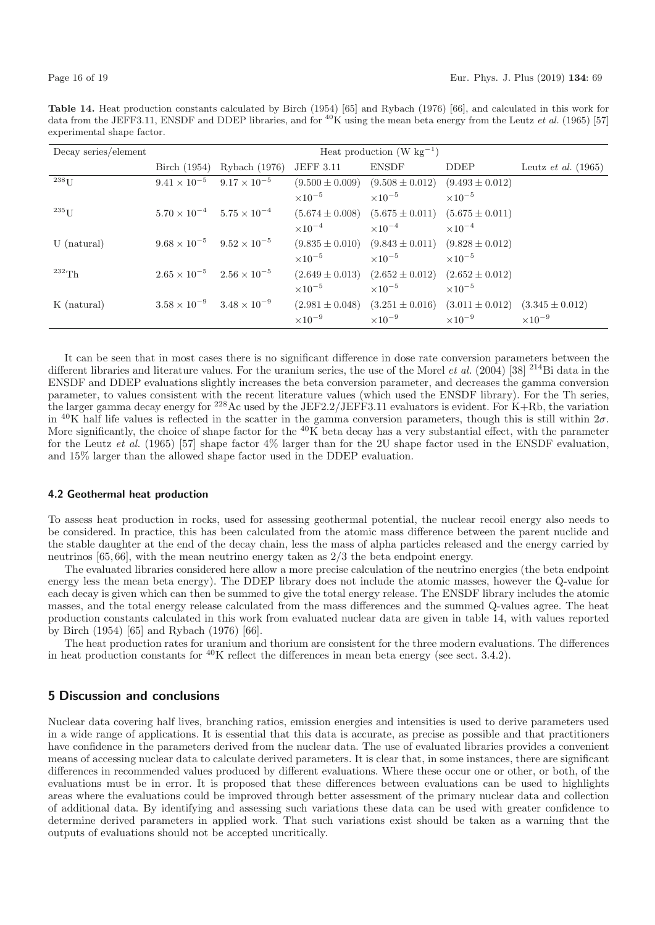**Table 14.** Heat production constants calculated by Birch (1954) [65] and Rybach (1976) [66], and calculated in this work for data from the JEFF3.11, ENSDF and DDEP libraries, and for <sup>40</sup>K using the mean beta energy from the Leutz *et al.* (1965) [57] experimental shape factor.

| Decay series/element | Heat production (W $kg^{-1}$ )              |                       |                     |                                         |                                                             |                              |
|----------------------|---------------------------------------------|-----------------------|---------------------|-----------------------------------------|-------------------------------------------------------------|------------------------------|
|                      | Birch $(1954)$                              | Rybach (1976)         | <b>JEFF 3.11</b>    | <b>ENSDF</b>                            | DDEP                                                        | Leutz <i>et al.</i> $(1965)$ |
| $^{238}$ U           | $9.41 \times 10^{-5}$                       | $9.17 \times 10^{-5}$ | $(9.500 \pm 0.009)$ | $(9.508 \pm 0.012)$                     | $(9.493 \pm 0.012)$                                         |                              |
|                      |                                             |                       | $\times 10^{-5}$    | $\times$ 10 <sup>-5</sup>               | $\times 10^{-5}$                                            |                              |
| $^{235}\mathrm{U}$   | $5.70 \times 10^{-4}$ $5.75 \times 10^{-4}$ |                       | $(5.674 \pm 0.008)$ | $(5.675 \pm 0.011)$ $(5.675 \pm 0.011)$ |                                                             |                              |
|                      |                                             |                       | $\times 10^{-4}$    | $\times 10^{-4}$                        | $\times 10^{-4}$                                            |                              |
| $U$ (natural)        | $9.68 \times 10^{-5}$ $9.52 \times 10^{-5}$ |                       | $(9.835 \pm 0.010)$ | $(9.843 \pm 0.011)$                     | $(9.828 \pm 0.012)$                                         |                              |
|                      |                                             |                       | $\times 10^{-5}$    | $\times 10^{-5}$                        | $\times$ 10 <sup>-5</sup>                                   |                              |
| $^{232}\mathrm{Th}$  | $2.65 \times 10^{-5}$ $2.56 \times 10^{-5}$ |                       | $(2.649 \pm 0.013)$ | $(2.652 \pm 0.012)$                     | $(2.652 \pm 0.012)$                                         |                              |
|                      |                                             |                       | $\times 10^{-5}$    | $\times 10^{-5}$                        | $\times$ 10 <sup>-5</sup>                                   |                              |
| K (natural)          | $3.58 \times 10^{-9}$ $3.48 \times 10^{-9}$ |                       | $(2.981 \pm 0.048)$ |                                         | $(3.251 \pm 0.016)$ $(3.011 \pm 0.012)$ $(3.345 \pm 0.012)$ |                              |
|                      |                                             |                       | $\times 10^{-9}$    | $\times 10^{-9}$                        | $\times 10^{-9}$                                            | $\times 10^{-9}$             |

It can be seen that in most cases there is no significant difference in dose rate conversion parameters between the different libraries and literature values. For the uranium series, the use of the Morel *et al.* (2004) [38] <sup>214</sup>Bi data in the ENSDF and DDEP evaluations slightly increases the beta conversion parameter, and decreases the gamma conversion parameter, to values consistent with the recent literature values (which used the ENSDF library). For the Th series, the larger gamma decay energy for <sup>228</sup>Ac used by the JEF2.2/JEFF3.11 evaluators is evident. For K+Rb, the variation in  $^{40}$ K half life values is reflected in the scatter in the gamma conversion parameters, though this is still within  $2\sigma$ . More significantly, the choice of shape factor for the  ${}^{40}$ K beta decay has a very substantial effect, with the parameter for the Leutz et al. (1965) [57] shape factor  $4\%$  larger than for the 2U shape factor used in the ENSDF evaluation. and 15% larger than the allowed shape factor used in the DDEP evaluation.

#### **4.2 Geothermal heat production**

To assess heat production in rocks, used for assessing geothermal potential, the nuclear recoil energy also needs to be considered. In practice, this has been calculated from the atomic mass difference between the parent nuclide and the stable daughter at the end of the decay chain, less the mass of alpha particles released and the energy carried by neutrinos [65,66], with the mean neutrino energy taken as 2/3 the beta endpoint energy.

The evaluated libraries considered here allow a more precise calculation of the neutrino energies (the beta endpoint energy less the mean beta energy). The DDEP library does not include the atomic masses, however the Q-value for each decay is given which can then be summed to give the total energy release. The ENSDF library includes the atomic masses, and the total energy release calculated from the mass differences and the summed Q-values agree. The heat production constants calculated in this work from evaluated nuclear data are given in table 14, with values reported by Birch (1954) [65] and Rybach (1976) [66].

The heat production rates for uranium and thorium are consistent for the three modern evaluations. The differences in heat production constants for  ${}^{40}$ K reflect the differences in mean beta energy (see sect. 3.4.2).

# **5 Discussion and conclusions**

Nuclear data covering half lives, branching ratios, emission energies and intensities is used to derive parameters used in a wide range of applications. It is essential that this data is accurate, as precise as possible and that practitioners have confidence in the parameters derived from the nuclear data. The use of evaluated libraries provides a convenient means of accessing nuclear data to calculate derived parameters. It is clear that, in some instances, there are significant differences in recommended values produced by different evaluations. Where these occur one or other, or both, of the evaluations must be in error. It is proposed that these differences between evaluations can be used to highlights areas where the evaluations could be improved through better assessment of the primary nuclear data and collection of additional data. By identifying and assessing such variations these data can be used with greater confidence to determine derived parameters in applied work. That such variations exist should be taken as a warning that the outputs of evaluations should not be accepted uncritically.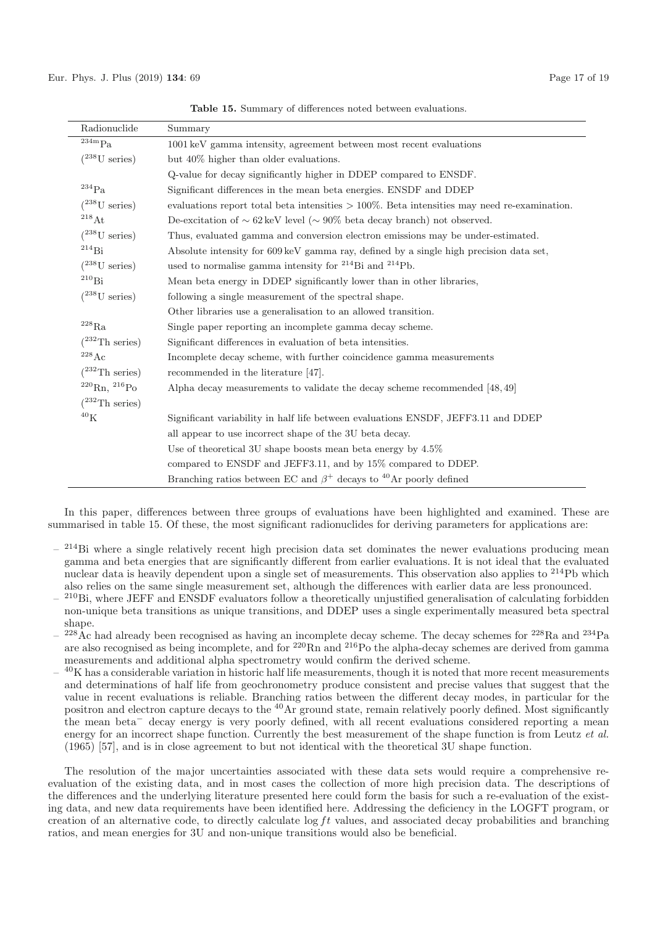| Radionuclide             | Summary                                                                                        |  |  |
|--------------------------|------------------------------------------------------------------------------------------------|--|--|
| 234mPa                   | 1001 keV gamma intensity, agreement between most recent evaluations                            |  |  |
| $(^{238}U$ series)       | but 40\% higher than older evaluations.                                                        |  |  |
|                          | Q-value for decay significantly higher in DDEP compared to ENSDF.                              |  |  |
| $^{234}\mathrm{Pa}$      | Significant differences in the mean beta energies. ENSDF and DDEP                              |  |  |
| $(^{238}U$ series)       | evaluations report total beta intensities $>100\%$ . Beta intensities may need re-examination. |  |  |
| $^{218}\mathrm{At}$      | De-excitation of $\sim 62 \,\text{keV}$ level ( $\sim 90\%$ beta decay branch) not observed.   |  |  |
| $(^{238}U$ series)       | Thus, evaluated gamma and conversion electron emissions may be under-estimated.                |  |  |
| $\rm ^{214}Bi$           | Absolute intensity for 609 keV gamma ray, defined by a single high precision data set,         |  |  |
| $(^{238}U$ series)       | used to normalise gamma intensity for $^{214}$ Bi and $^{214}$ Pb.                             |  |  |
| $\rm ^{210}Bi$           | Mean beta energy in DDEP significantly lower than in other libraries,                          |  |  |
| $(^{238}U$ series)       | following a single measurement of the spectral shape.                                          |  |  |
|                          | Other libraries use a generalisation to an allowed transition.                                 |  |  |
| $^{228}\mathrm{Ra}$      | Single paper reporting an incomplete gamma decay scheme.                                       |  |  |
| $(^{232}Th$ series)      | Significant differences in evaluation of beta intensities.                                     |  |  |
| $^{228}\mathrm{Ac}$      | Incomplete decay scheme, with further coincidence gamma measurements                           |  |  |
| $(^{232}Th$ series)      | recommended in the literature [47].                                                            |  |  |
| $^{220}$ Rn, $^{216}$ Po | Alpha decay measurements to validate the decay scheme recommended $[48, 49]$                   |  |  |
| $(^{232}Th$ series)      |                                                                                                |  |  |
| $^{40}{\rm K}$           | Significant variability in half life between evaluations ENSDF, JEFF3.11 and DDEP              |  |  |
|                          | all appear to use incorrect shape of the 3U beta decay.                                        |  |  |
|                          | Use of theoretical 3U shape boosts mean beta energy by $4.5\%$                                 |  |  |
|                          | compared to ENSDF and JEFF3.11, and by 15% compared to DDEP.                                   |  |  |
|                          | Branching ratios between EC and $\beta^+$ decays to <sup>40</sup> Ar poorly defined            |  |  |

**Table 15.** Summary of differences noted between evaluations.

In this paper, differences between three groups of evaluations have been highlighted and examined. These are summarised in table 15. Of these, the most significant radionuclides for deriving parameters for applications are:

- $-$  <sup>214</sup>Bi where a single relatively recent high precision data set dominates the newer evaluations producing mean gamma and beta energies that are significantly different from earlier evaluations. It is not ideal that the evaluated nuclear data is heavily dependent upon a single set of measurements. This observation also applies to <sup>214</sup>Pb which also relies on the same single measurement set, although the differences with earlier data are less pronounced.
- <sup>210</sup>Bi, where JEFF and ENSDF evaluators follow a theoretically unjustified generalisation of calculating forbidden non-unique beta transitions as unique transitions, and DDEP uses a single experimentally measured beta spectral shape.
- $-$  <sup>228</sup>Ac had already been recognised as having an incomplete decay scheme. The decay schemes for <sup>228</sup>Ra and <sup>234</sup>Pa are also recognised as being incomplete, and for <sup>220</sup>Rn and <sup>216</sup>Po the alpha-decay schemes are derived from gamma measurements and additional alpha spectrometry would confirm the derived scheme.
- $^{40}$ K has a considerable variation in historic half life measurements, though it is noted that more recent measurements and determinations of half life from geochronometry produce consistent and precise values that suggest that the value in recent evaluations is reliable. Branching ratios between the different decay modes, in particular for the positron and electron capture decays to the <sup>40</sup>Ar ground state, remain relatively poorly defined. Most significantly the mean beta<sup>−</sup> decay energy is very poorly defined, with all recent evaluations considered reporting a mean energy for an incorrect shape function. Currently the best measurement of the shape function is from Leutz et al. (1965) [57], and is in close agreement to but not identical with the theoretical 3U shape function.

The resolution of the major uncertainties associated with these data sets would require a comprehensive reevaluation of the existing data, and in most cases the collection of more high precision data. The descriptions of the differences and the underlying literature presented here could form the basis for such a re-evaluation of the existing data, and new data requirements have been identified here. Addressing the deficiency in the LOGFT program, or creation of an alternative code, to directly calculate  $\log ft$  values, and associated decay probabilities and branching ratios, and mean energies for 3U and non-unique transitions would also be beneficial.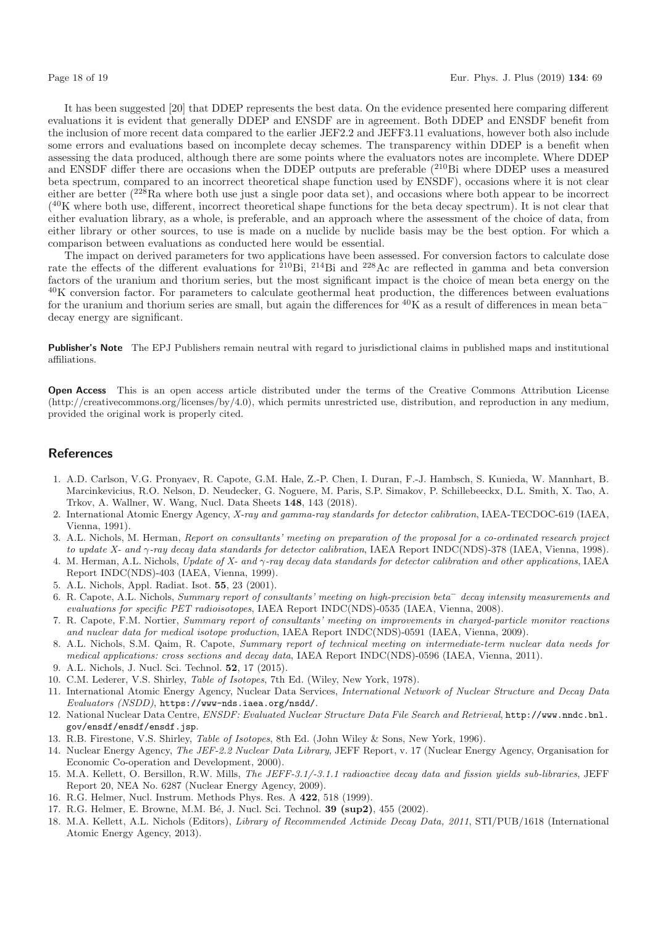It has been suggested [20] that DDEP represents the best data. On the evidence presented here comparing different evaluations it is evident that generally DDEP and ENSDF are in agreement. Both DDEP and ENSDF benefit from the inclusion of more recent data compared to the earlier JEF2.2 and JEFF3.11 evaluations, however both also include some errors and evaluations based on incomplete decay schemes. The transparency within DDEP is a benefit when assessing the data produced, although there are some points where the evaluators notes are incomplete. Where DDEP and ENSDF differ there are occasions when the DDEP outputs are preferable  $(^{210}Bi$  where DDEP uses a measured beta spectrum, compared to an incorrect theoretical shape function used by ENSDF), occasions where it is not clear either are better  $(2^{28}Ra$  where both use just a single poor data set), and occasions where both appear to be incorrect  $(40K)$  where both use, different, incorrect theoretical shape functions for the beta decay spectrum). It is not clear that either evaluation library, as a whole, is preferable, and an approach where the assessment of the choice of data, from either library or other sources, to use is made on a nuclide by nuclide basis may be the best option. For which a comparison between evaluations as conducted here would be essential.

The impact on derived parameters for two applications have been assessed. For conversion factors to calculate dose rate the effects of the different evaluations for <sup>210</sup>Bi, <sup>214</sup>Bi and <sup>228</sup>Ac are reflected in gamma and beta conversion factors of the uranium and thorium series, but the most significant impact is the choice of mean beta energy on the  $^{40}$ K conversion factor. For parameters to calculate geothermal heat production, the differences between evaluations for the uranium and thorium series are small, but again the differences for  $^{40}$ K as a result of differences in mean beta<sup>−</sup> decay energy are significant.

**Publisher's Note** The EPJ Publishers remain neutral with regard to jurisdictional claims in published maps and institutional affiliations.

**Open Access** This is an open access article distributed under the terms of the Creative Commons Attribution License (http://creativecommons.org/licenses/by/4.0), which permits unrestricted use, distribution, and reproduction in any medium, provided the original work is properly cited.

# **References**

- 1. A.D. Carlson, V.G. Pronyaev, R. Capote, G.M. Hale, Z.-P. Chen, I. Duran, F.-J. Hambsch, S. Kunieda, W. Mannhart, B. Marcinkevicius, R.O. Nelson, D. Neudecker, G. Noguere, M. Paris, S.P. Simakov, P. Schillebeeckx, D.L. Smith, X. Tao, A. Trkov, A. Wallner, W. Wang, Nucl. Data Sheets **148**, 143 (2018).
- 2. International Atomic Energy Agency, X-ray and gamma-ray standards for detector calibration, IAEA-TECDOC-619 (IAEA, Vienna, 1991).
- 3. A.L. Nichols, M. Herman, Report on consultants' meeting on preparation of the proposal for a co-ordinated research project to update X- and γ-ray decay data standards for detector calibration, IAEA Report INDC(NDS)-378 (IAEA, Vienna, 1998).
- 4. M. Herman, A.L. Nichols, Update of X- and  $\gamma$ -ray decay data standards for detector calibration and other applications, IAEA Report INDC(NDS)-403 (IAEA, Vienna, 1999).
- 5. A.L. Nichols, Appl. Radiat. Isot. **55**, 23 (2001).
- 6. R. Capote, A.L. Nichols, Summary report of consultants' meeting on high-precision beta<sup>−</sup> decay intensity measurements and evaluations for specific PET radioisotopes, IAEA Report INDC(NDS)-0535 (IAEA, Vienna, 2008).
- 7. R. Capote, F.M. Nortier, Summary report of consultants' meeting on improvements in charged-particle monitor reactions and nuclear data for medical isotope production, IAEA Report INDC(NDS)-0591 (IAEA, Vienna, 2009).
- 8. A.L. Nichols, S.M. Qaim, R. Capote, Summary report of technical meeting on intermediate-term nuclear data needs for medical applications: cross sections and decay data, IAEA Report INDC(NDS)-0596 (IAEA, Vienna, 2011).
- 9. A.L. Nichols, J. Nucl. Sci. Technol. **52**, 17 (2015).
- 10. C.M. Lederer, V.S. Shirley, Table of Isotopes, 7th Ed. (Wiley, New York, 1978).
- 11. International Atomic Energy Agency, Nuclear Data Services, International Network of Nuclear Structure and Decay Data Evaluators (NSDD), https://www-nds.iaea.org/nsdd/.
- 12. National Nuclear Data Centre, ENSDF: Evaluated Nuclear Structure Data File Search and Retrieval, http://www.nndc.bnl. gov/ensdf/ensdf/ensdf.jsp.
- 13. R.B. Firestone, V.S. Shirley, Table of Isotopes, 8th Ed. (John Wiley & Sons, New York, 1996).
- 14. Nuclear Energy Agency, The JEF-2.2 Nuclear Data Library, JEFF Report, v. 17 (Nuclear Energy Agency, Organisation for Economic Co-operation and Development, 2000).
- 15. M.A. Kellett, O. Bersillon, R.W. Mills, The JEFF-3.1/-3.1.1 radioactive decay data and fission yields sub-libraries, JEFF Report 20, NEA No. 6287 (Nuclear Energy Agency, 2009).
- 16. R.G. Helmer, Nucl. Instrum. Methods Phys. Res. A **422**, 518 (1999).
- 17. R.G. Helmer, E. Browne, M.M. B´e, J. Nucl. Sci. Technol. **39 (sup2)**, 455 (2002).
- 18. M.A. Kellett, A.L. Nichols (Editors), Library of Recommended Actinide Decay Data, 2011, STI/PUB/1618 (International Atomic Energy Agency, 2013).